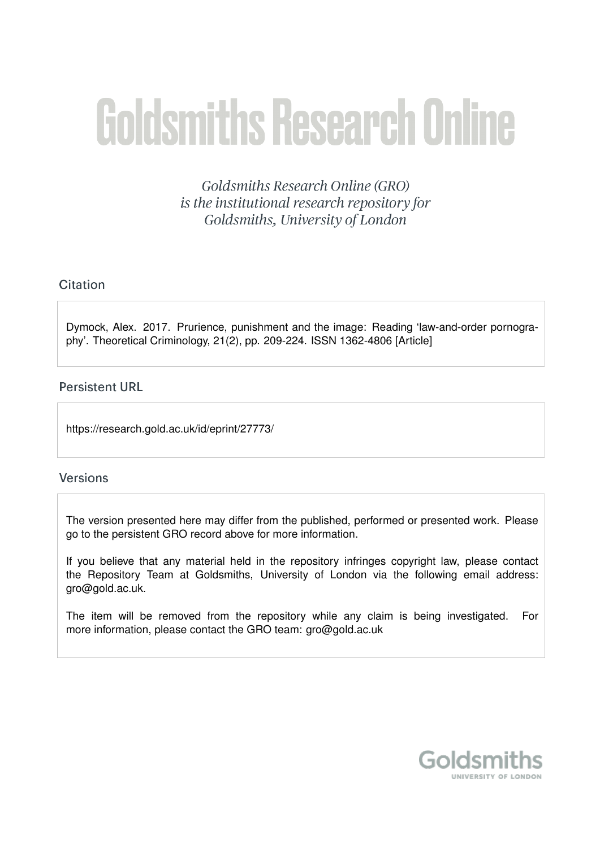# **Goldsmiths Research Online**

Goldsmiths Research Online (GRO) is the institutional research repository for Goldsmiths, University of London

# Citation

Dymock, Alex. 2017. Prurience, punishment and the image: Reading 'law-and-order pornography'. Theoretical Criminology, 21(2), pp. 209-224. ISSN 1362-4806 [Article]

# **Persistent URL**

https://research.gold.ac.uk/id/eprint/27773/

# **Versions**

The version presented here may differ from the published, performed or presented work. Please go to the persistent GRO record above for more information.

If you believe that any material held in the repository infringes copyright law, please contact the Repository Team at Goldsmiths, University of London via the following email address: gro@gold.ac.uk.

The item will be removed from the repository while any claim is being investigated. For more information, please contact the GRO team: gro@gold.ac.uk

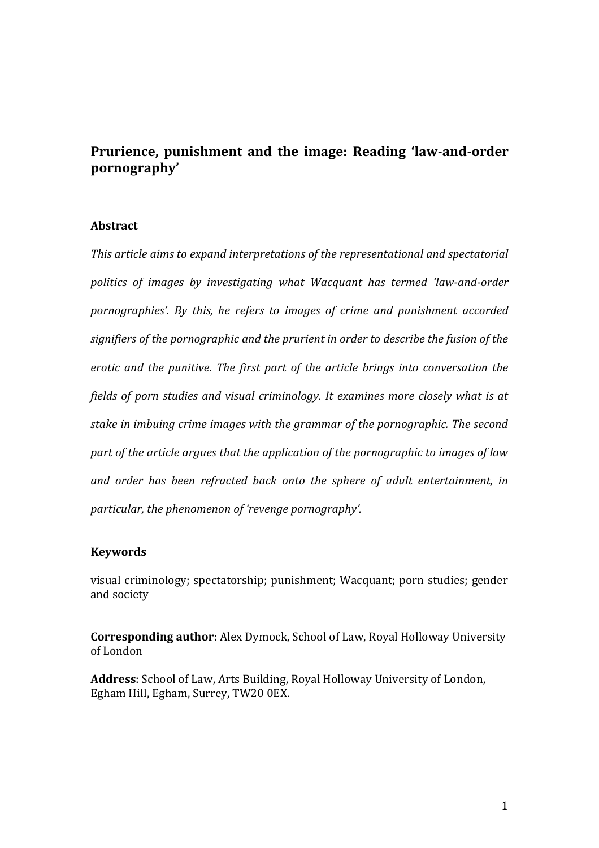# **Prurience, punishment and the image: Reading 'law-and-order pornography'**

# **Abstract**

*This article aims to expand interpretations of the representational and spectatorial politics of images by investigating what Wacquant has termed 'law-and-order pornographies'. By this, he refers to images of crime and punishment accorded signifiers of the pornographic and the prurient in order to describe the fusion of the erotic and the punitive. The first part of the article brings into conversation the fields of porn studies and visual criminology. It examines more closely what is at stake in imbuing crime images with the grammar of the pornographic. The second part of the article argues that the application of the pornographic to images of law and order has been refracted back onto the sphere of adult entertainment, in particular, the phenomenon of 'revenge pornography'.*

# **Keywords**

visual criminology; spectatorship; punishment; Wacquant; porn studies; gender and society

**Corresponding author:** Alex Dymock, School of Law, Royal Holloway University of London

**Address**: School of Law, Arts Building, Royal Holloway University of London, Egham Hill, Egham, Surrey, TW20 0EX.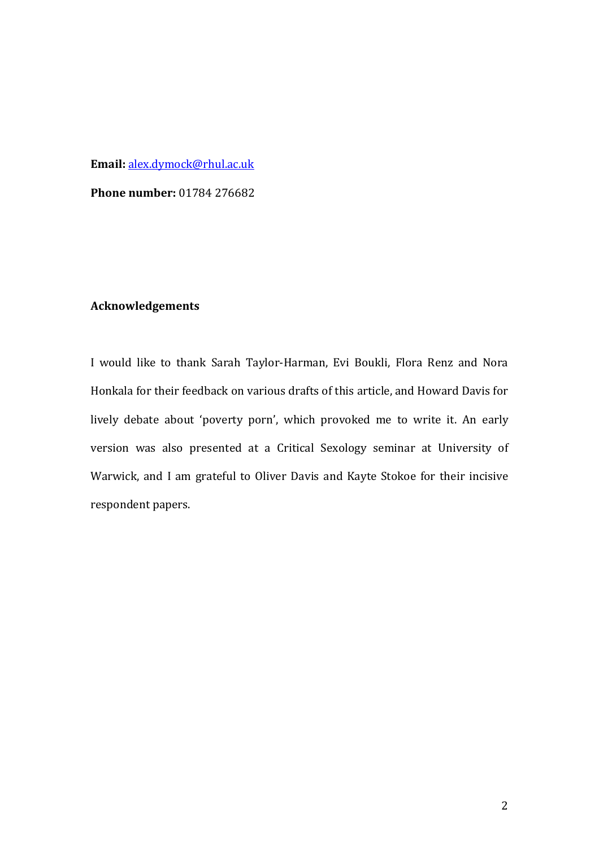## **Email:** [alex.dymock@rhul.ac.uk](mailto:alex.dymock@rhul.ac.uk)

**Phone number:** 01784 276682

# **Acknowledgements**

I would like to thank Sarah Taylor-Harman, Evi Boukli, Flora Renz and Nora Honkala for their feedback on various drafts of this article, and Howard Davis for lively debate about 'poverty porn', which provoked me to write it. An early version was also presented at a Critical Sexology seminar at University of Warwick, and I am grateful to Oliver Davis and Kayte Stokoe for their incisive respondent papers.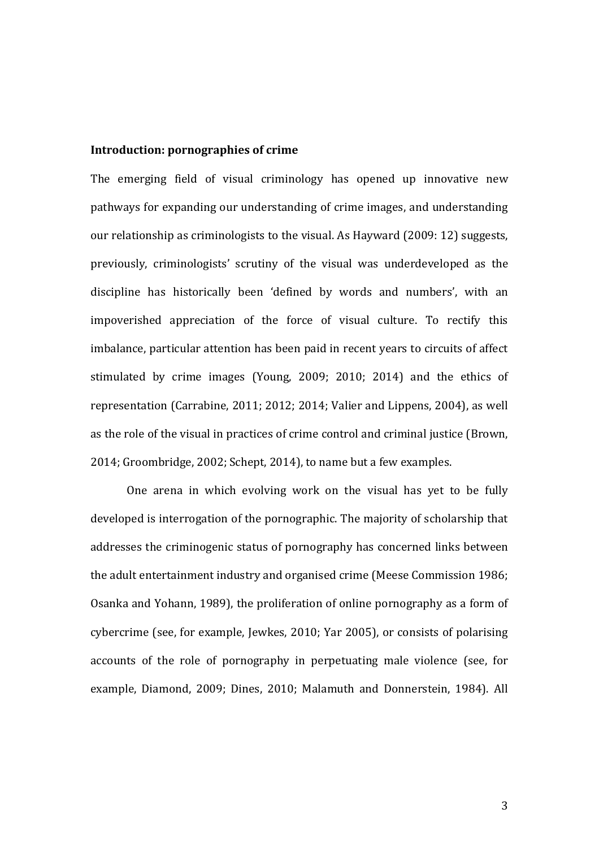### **Introduction: pornographies of crime**

The emerging field of visual criminology has opened up innovative new pathways for expanding our understanding of crime images, and understanding our relationship as criminologists to the visual. As Hayward (2009: 12) suggests, previously, criminologists' scrutiny of the visual was underdeveloped as the discipline has historically been 'defined by words and numbers', with an impoverished appreciation of the force of visual culture. To rectify this imbalance, particular attention has been paid in recent years to circuits of affect stimulated by crime images (Young, 2009; 2010; 2014) and the ethics of representation (Carrabine, 2011; 2012; 2014; Valier and Lippens, 2004), as well as the role of the visual in practices of crime control and criminal justice (Brown, 2014; Groombridge, 2002; Schept, 2014), to name but a few examples.

One arena in which evolving work on the visual has yet to be fully developed is interrogation of the pornographic. The majority of scholarship that addresses the criminogenic status of pornography has concerned links between the adult entertainment industry and organised crime (Meese Commission 1986; Osanka and Yohann, 1989), the proliferation of online pornography as a form of cybercrime (see, for example, Jewkes, 2010; Yar 2005), or consists of polarising accounts of the role of pornography in perpetuating male violence (see, for example, Diamond, 2009; Dines, 2010; Malamuth and Donnerstein, 1984). All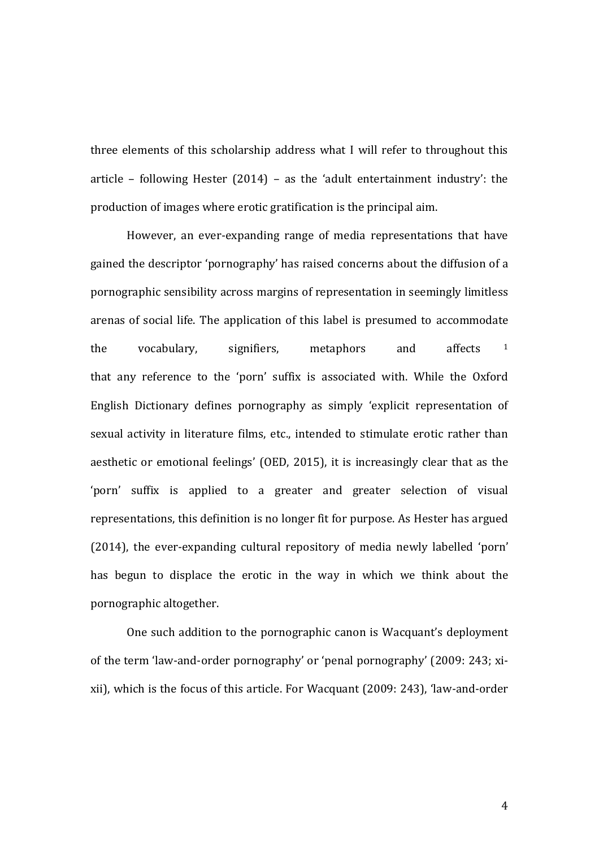three elements of this scholarship address what I will refer to throughout this article – following Hester (2014) – as the 'adult entertainment industry': the production of images where erotic gratification is the principal aim.

However, an ever-expanding range of media representations that have gained the descriptor 'pornography' has raised concerns about the diffusion of a pornographic sensibility across margins of representation in seemingly limitless arenas of social life. The application of this label is presumed to accommodate the vocabulary, signifiers, metaphors and affects <sup>1</sup> that any reference to the 'porn' suffix is associated with. While the Oxford English Dictionary defines pornography as simply 'explicit representation of sexual activity in literature films, etc., intended to stimulate erotic rather than aesthetic or emotional feelings' (OED, 2015), it is increasingly clear that as the 'porn' suffix is applied to a greater and greater selection of visual representations, this definition is no longer fit for purpose. As Hester has argued (2014), the ever-expanding cultural repository of media newly labelled 'porn' has begun to displace the erotic in the way in which we think about the pornographic altogether.

One such addition to the pornographic canon is Wacquant's deployment of the term 'law-and-order pornography' or 'penal pornography' (2009: 243; xixii), which is the focus of this article. For Wacquant (2009: 243), 'law-and-order

4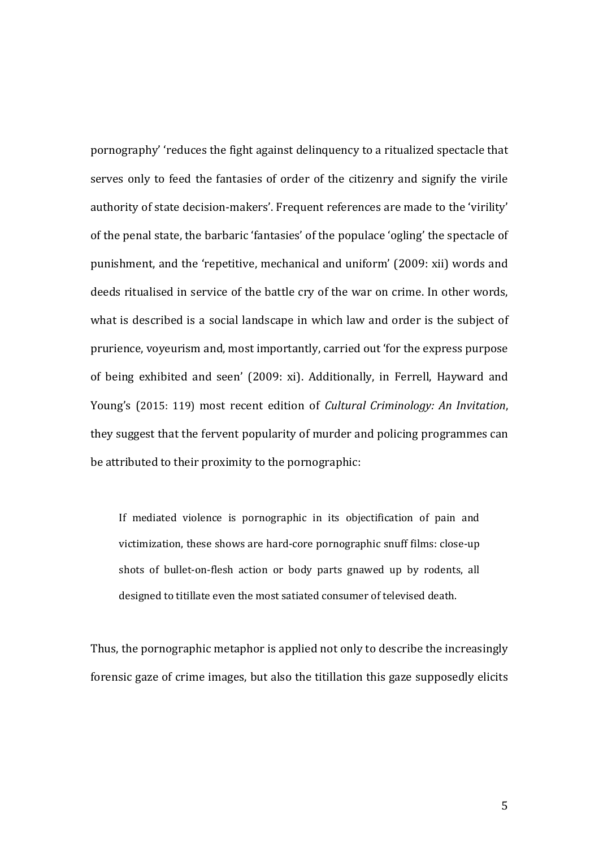pornography' 'reduces the fight against delinquency to a ritualized spectacle that serves only to feed the fantasies of order of the citizenry and signify the virile authority of state decision-makers'. Frequent references are made to the 'virility' of the penal state, the barbaric 'fantasies' of the populace 'ogling' the spectacle of punishment, and the 'repetitive, mechanical and uniform' (2009: xii) words and deeds ritualised in service of the battle cry of the war on crime. In other words, what is described is a social landscape in which law and order is the subject of prurience, voyeurism and, most importantly, carried out 'for the express purpose of being exhibited and seen' (2009: xi). Additionally, in Ferrell, Hayward and Young's (2015: 119) most recent edition of *Cultural Criminology: An Invitation*, they suggest that the fervent popularity of murder and policing programmes can be attributed to their proximity to the pornographic:

If mediated violence is pornographic in its objectification of pain and victimization, these shows are hard-core pornographic snuff films: close-up shots of bullet-on-flesh action or body parts gnawed up by rodents, all designed to titillate even the most satiated consumer of televised death.

Thus, the pornographic metaphor is applied not only to describe the increasingly forensic gaze of crime images, but also the titillation this gaze supposedly elicits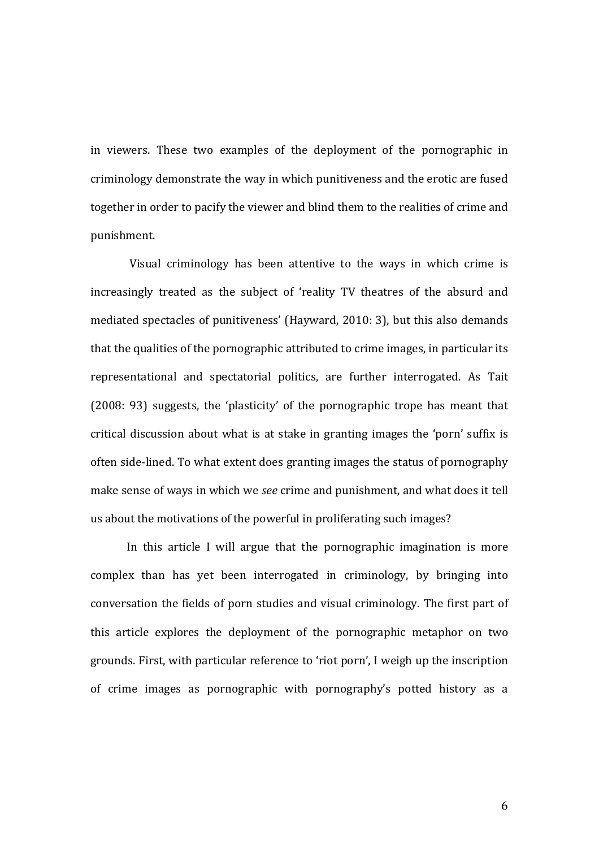in viewers. These two examples of the deployment of the pornographic in criminology demonstrate the way in which punitiveness and the erotic are fused together in order to pacify the viewer and blind them to the realities of crime and punishment.

Visual criminology has been attentive to the ways in which crime is increasingly treated as the subject of 'reality TV theatres of the absurd and mediated spectacles of punitiveness' (Hayward, 2010: 3), but this also demands that the qualities of the pornographic attributed to crime images, in particular its representational and spectatorial politics, are further interrogated. As Tait (2008: 93) suggests, the 'plasticity' of the pornographic trope has meant that critical discussion about what is at stake in granting images the 'porn' suffix is often side-lined. To what extent does granting images the status of pornography make sense of ways in which we *see* crime and punishment, and what does it tell us about the motivations of the powerful in proliferating such images?

In this article I will argue that the pornographic imagination is more complex than has yet been interrogated in criminology, by bringing into conversation the fields of porn studies and visual criminology. The first part of this article explores the deployment of the pornographic metaphor on two grounds. First, with particular reference to 'riot porn', I weigh up the inscription of crime images as pornographic with pornography's potted history as a

6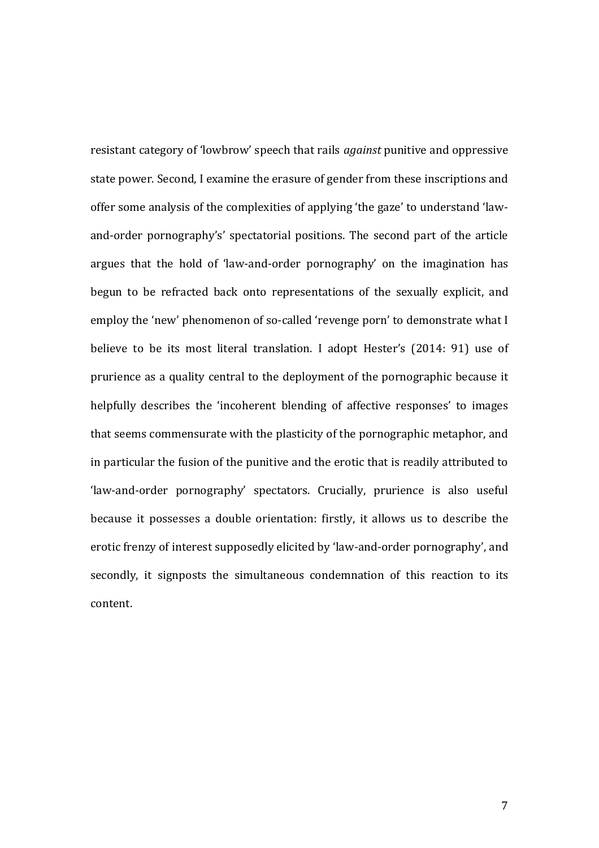resistant category of 'lowbrow' speech that rails *against* punitive and oppressive state power. Second, I examine the erasure of gender from these inscriptions and offer some analysis of the complexities of applying 'the gaze' to understand 'lawand-order pornography's' spectatorial positions. The second part of the article argues that the hold of 'law-and-order pornography' on the imagination has begun to be refracted back onto representations of the sexually explicit, and employ the 'new' phenomenon of so-called 'revenge porn' to demonstrate what I believe to be its most literal translation. I adopt Hester's (2014: 91) use of prurience as a quality central to the deployment of the pornographic because it helpfully describes the 'incoherent blending of affective responses' to images that seems commensurate with the plasticity of the pornographic metaphor, and in particular the fusion of the punitive and the erotic that is readily attributed to 'law-and-order pornography' spectators. Crucially, prurience is also useful because it possesses a double orientation: firstly, it allows us to describe the erotic frenzy of interest supposedly elicited by 'law-and-order pornography', and secondly, it signposts the simultaneous condemnation of this reaction to its content.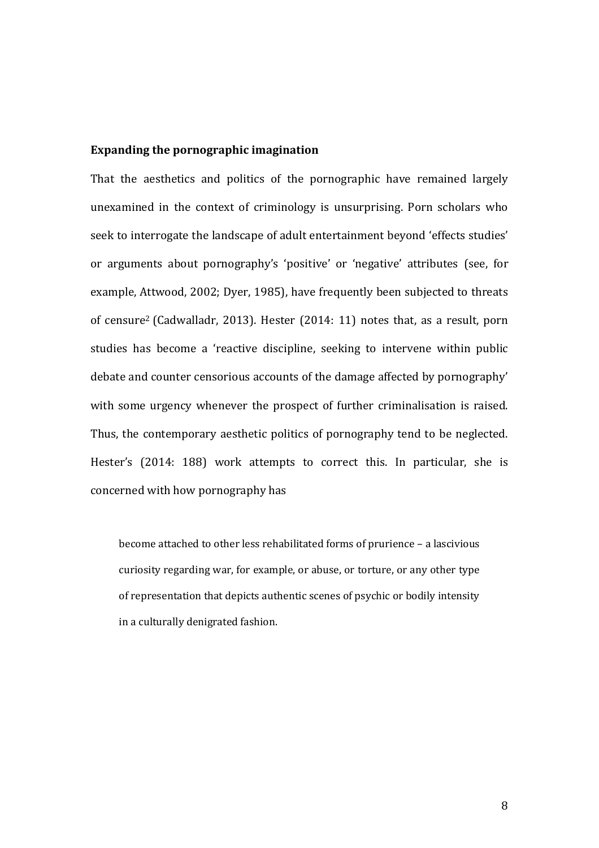## **Expanding the pornographic imagination**

That the aesthetics and politics of the pornographic have remained largely unexamined in the context of criminology is unsurprising. Porn scholars who seek to interrogate the landscape of adult entertainment beyond 'effects studies' or arguments about pornography's 'positive' or 'negative' attributes (see, for example, Attwood, 2002; Dyer, 1985), have frequently been subjected to threats of censure<sup>2</sup> (Cadwalladr, 2013). Hester (2014: 11) notes that, as a result, porn studies has become a 'reactive discipline, seeking to intervene within public debate and counter censorious accounts of the damage affected by pornography' with some urgency whenever the prospect of further criminalisation is raised. Thus, the contemporary aesthetic politics of pornography tend to be neglected. Hester's (2014: 188) work attempts to correct this. In particular, she is concerned with how pornography has

become attached to other less rehabilitated forms of prurience – a lascivious curiosity regarding war, for example, or abuse, or torture, or any other type of representation that depicts authentic scenes of psychic or bodily intensity in a culturally denigrated fashion.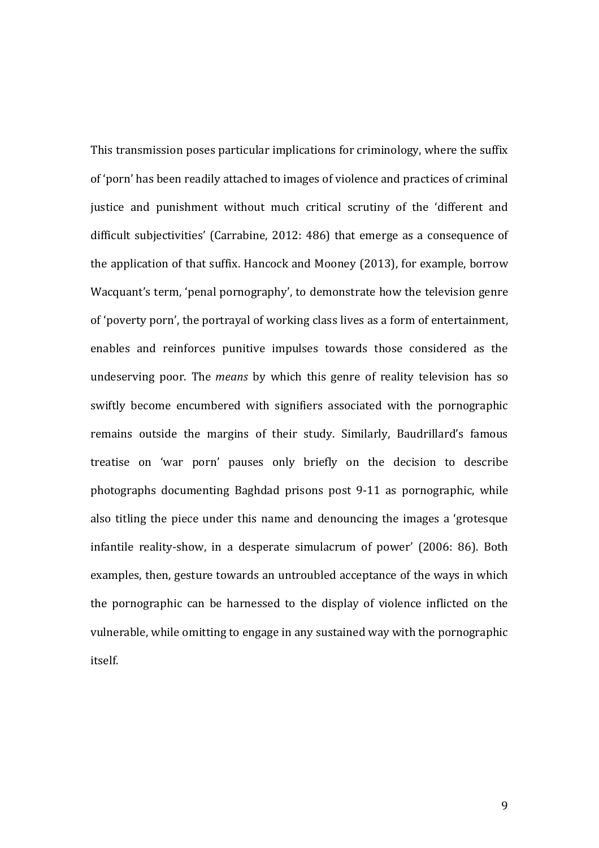This transmission poses particular implications for criminology, where the suffix of 'porn' has been readily attached to images of violence and practices of criminal justice and punishment without much critical scrutiny of the 'different and difficult subjectivities' (Carrabine, 2012: 486) that emerge as a consequence of the application of that suffix. Hancock and Mooney (2013), for example, borrow Wacquant's term, 'penal pornography', to demonstrate how the television genre of 'poverty porn', the portrayal of working class lives as a form of entertainment, enables and reinforces punitive impulses towards those considered as the undeserving poor. The *means* by which this genre of reality television has so swiftly become encumbered with signifiers associated with the pornographic remains outside the margins of their study. Similarly, Baudrillard's famous treatise on 'war porn' pauses only briefly on the decision to describe photographs documenting Baghdad prisons post 9-11 as pornographic, while also titling the piece under this name and denouncing the images a 'grotesque infantile reality-show, in a desperate simulacrum of power' (2006: 86). Both examples, then, gesture towards an untroubled acceptance of the ways in which the pornographic can be harnessed to the display of violence inflicted on the vulnerable, while omitting to engage in any sustained way with the pornographic itself.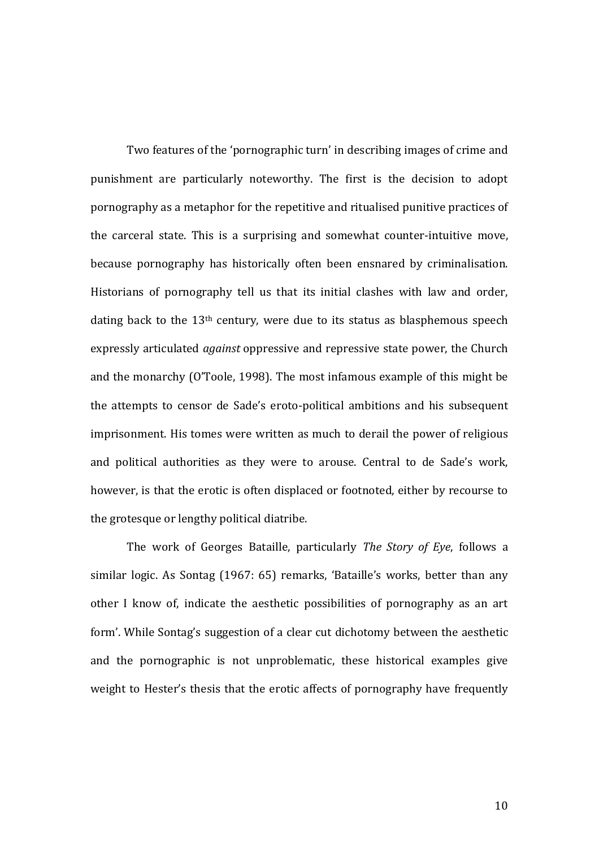Two features of the 'pornographic turn' in describing images of crime and punishment are particularly noteworthy. The first is the decision to adopt pornography as a metaphor for the repetitive and ritualised punitive practices of the carceral state. This is a surprising and somewhat counter-intuitive move, because pornography has historically often been ensnared by criminalisation. Historians of pornography tell us that its initial clashes with law and order, dating back to the 13<sup>th</sup> century, were due to its status as blasphemous speech expressly articulated *against* oppressive and repressive state power, the Church and the monarchy (O'Toole, 1998). The most infamous example of this might be the attempts to censor de Sade's eroto-political ambitions and his subsequent imprisonment. His tomes were written as much to derail the power of religious and political authorities as they were to arouse. Central to de Sade's work, however, is that the erotic is often displaced or footnoted, either by recourse to the grotesque or lengthy political diatribe.

The work of Georges Bataille, particularly *The Story of Eye*, follows a similar logic. As Sontag (1967: 65) remarks, 'Bataille's works, better than any other I know of, indicate the aesthetic possibilities of pornography as an art form'. While Sontag's suggestion of a clear cut dichotomy between the aesthetic and the pornographic is not unproblematic, these historical examples give weight to Hester's thesis that the erotic affects of pornography have frequently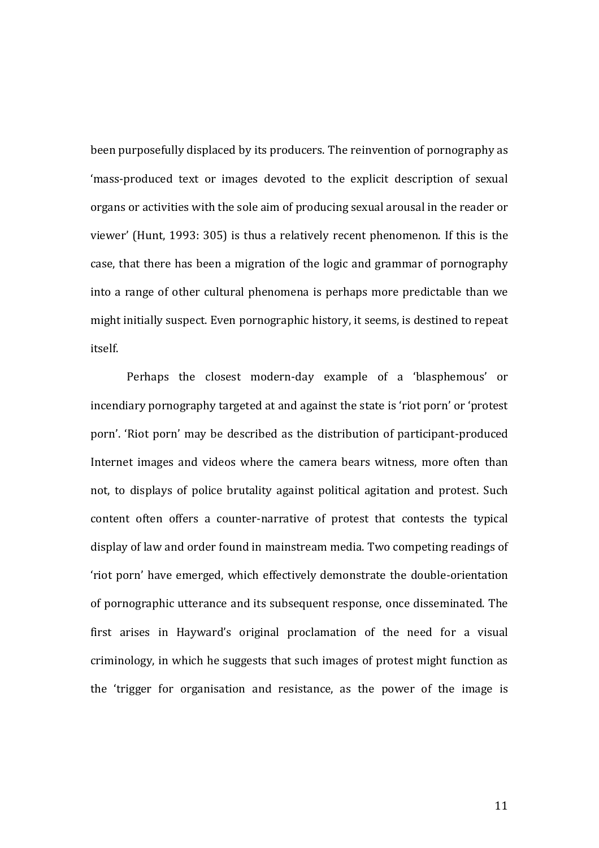been purposefully displaced by its producers. The reinvention of pornography as 'mass-produced text or images devoted to the explicit description of sexual organs or activities with the sole aim of producing sexual arousal in the reader or viewer' (Hunt, 1993: 305) is thus a relatively recent phenomenon. If this is the case, that there has been a migration of the logic and grammar of pornography into a range of other cultural phenomena is perhaps more predictable than we might initially suspect. Even pornographic history, it seems, is destined to repeat itself.

Perhaps the closest modern-day example of a 'blasphemous' or incendiary pornography targeted at and against the state is 'riot porn' or 'protest porn'. 'Riot porn' may be described as the distribution of participant-produced Internet images and videos where the camera bears witness, more often than not, to displays of police brutality against political agitation and protest. Such content often offers a counter-narrative of protest that contests the typical display of law and order found in mainstream media. Two competing readings of 'riot porn' have emerged, which effectively demonstrate the double-orientation of pornographic utterance and its subsequent response, once disseminated. The first arises in Hayward's original proclamation of the need for a visual criminology, in which he suggests that such images of protest might function as the 'trigger for organisation and resistance, as the power of the image is

11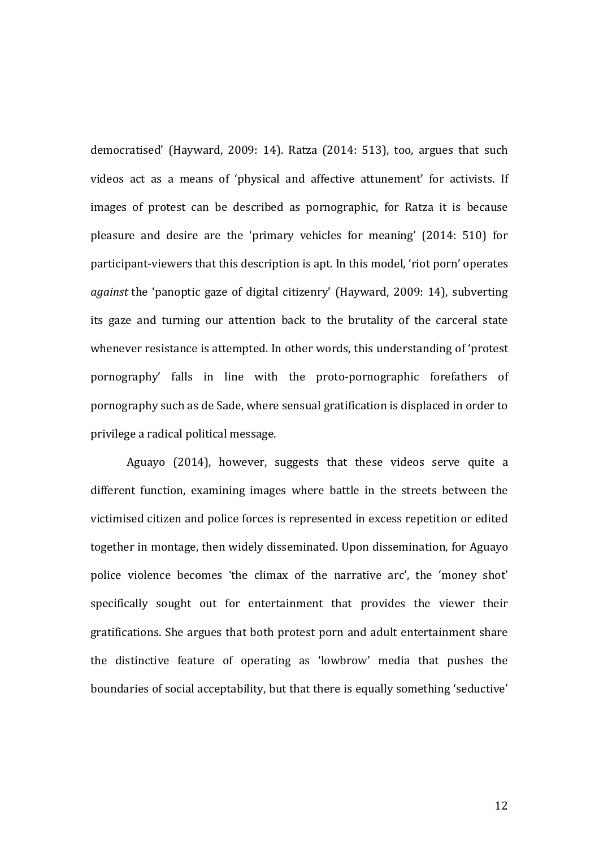democratised' (Hayward, 2009: 14). Ratza (2014: 513), too, argues that such videos act as a means of 'physical and affective attunement' for activists. If images of protest can be described as pornographic, for Ratza it is because pleasure and desire are the 'primary vehicles for meaning' (2014: 510) for participant-viewers that this description is apt. In this model, 'riot porn' operates *against* the 'panoptic gaze of digital citizenry' (Hayward, 2009: 14), subverting its gaze and turning our attention back to the brutality of the carceral state whenever resistance is attempted. In other words, this understanding of 'protest pornography' falls in line with the proto-pornographic forefathers of pornography such as de Sade, where sensual gratification is displaced in order to privilege a radical political message.

Aguayo (2014), however, suggests that these videos serve quite a different function, examining images where battle in the streets between the victimised citizen and police forces is represented in excess repetition or edited together in montage, then widely disseminated. Upon dissemination, for Aguayo police violence becomes 'the climax of the narrative arc', the 'money shot' specifically sought out for entertainment that provides the viewer their gratifications. She argues that both protest porn and adult entertainment share the distinctive feature of operating as 'lowbrow' media that pushes the boundaries of social acceptability, but that there is equally something 'seductive'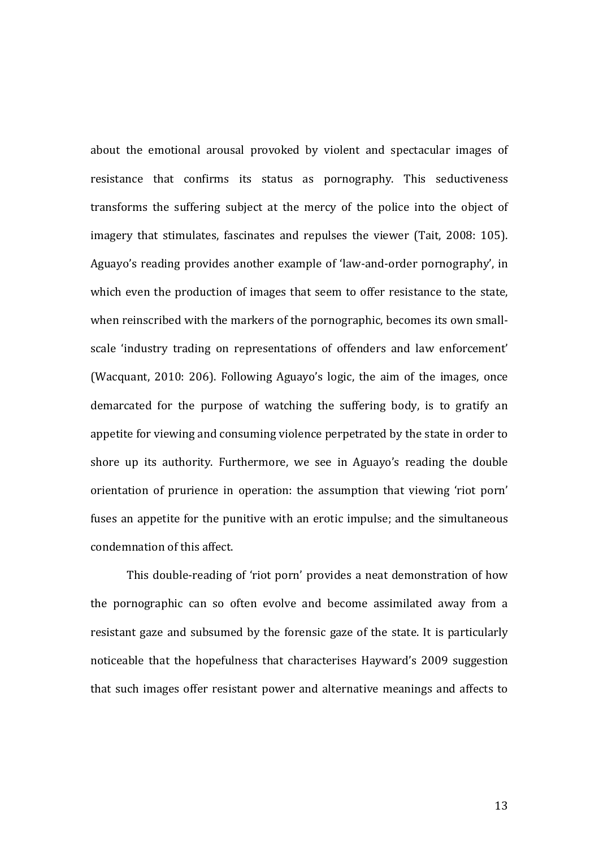about the emotional arousal provoked by violent and spectacular images of resistance that confirms its status as pornography. This seductiveness transforms the suffering subject at the mercy of the police into the object of imagery that stimulates, fascinates and repulses the viewer (Tait, 2008: 105). Aguayo's reading provides another example of 'law-and-order pornography', in which even the production of images that seem to offer resistance to the state, when reinscribed with the markers of the pornographic, becomes its own smallscale 'industry trading on representations of offenders and law enforcement' (Wacquant, 2010: 206). Following Aguayo's logic, the aim of the images, once demarcated for the purpose of watching the suffering body, is to gratify an appetite for viewing and consuming violence perpetrated by the state in order to shore up its authority. Furthermore, we see in Aguayo's reading the double orientation of prurience in operation: the assumption that viewing 'riot porn' fuses an appetite for the punitive with an erotic impulse; and the simultaneous condemnation of this affect.

This double-reading of 'riot porn' provides a neat demonstration of how the pornographic can so often evolve and become assimilated away from a resistant gaze and subsumed by the forensic gaze of the state. It is particularly noticeable that the hopefulness that characterises Hayward's 2009 suggestion that such images offer resistant power and alternative meanings and affects to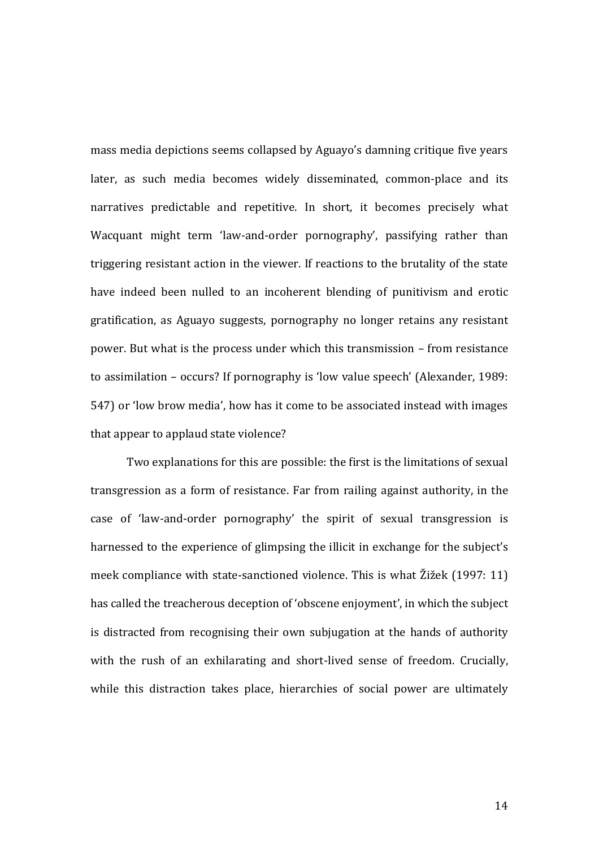mass media depictions seems collapsed by Aguayo's damning critique five years later, as such media becomes widely disseminated, common-place and its narratives predictable and repetitive. In short, it becomes precisely what Wacquant might term 'law-and-order pornography', passifying rather than triggering resistant action in the viewer. If reactions to the brutality of the state have indeed been nulled to an incoherent blending of punitivism and erotic gratification, as Aguayo suggests, pornography no longer retains any resistant power. But what is the process under which this transmission – from resistance to assimilation – occurs? If pornography is 'low value speech' (Alexander, 1989: 547) or 'low brow media', how has it come to be associated instead with images that appear to applaud state violence?

Two explanations for this are possible: the first is the limitations of sexual transgression as a form of resistance. Far from railing against authority, in the case of 'law-and-order pornography' the spirit of sexual transgression is harnessed to the experience of glimpsing the illicit in exchange for the subject's meek compliance with state-sanctioned violence. This is what Žižek (1997: 11) has called the treacherous deception of 'obscene enjoyment', in which the subject is distracted from recognising their own subjugation at the hands of authority with the rush of an exhilarating and short-lived sense of freedom. Crucially, while this distraction takes place, hierarchies of social power are ultimately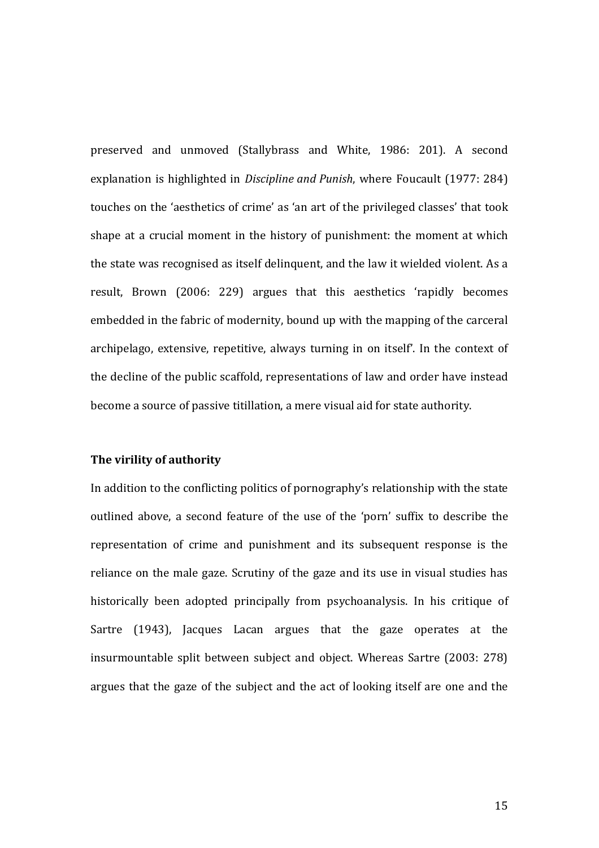preserved and unmoved (Stallybrass and White, 1986: 201). A second explanation is highlighted in *Discipline and Punish*, where Foucault (1977: 284) touches on the 'aesthetics of crime' as 'an art of the privileged classes' that took shape at a crucial moment in the history of punishment: the moment at which the state was recognised as itself delinquent, and the law it wielded violent. As a result, Brown (2006: 229) argues that this aesthetics 'rapidly becomes embedded in the fabric of modernity, bound up with the mapping of the carceral archipelago, extensive, repetitive, always turning in on itself'. In the context of the decline of the public scaffold, representations of law and order have instead become a source of passive titillation, a mere visual aid for state authority.

# **The virility of authority**

In addition to the conflicting politics of pornography's relationship with the state outlined above, a second feature of the use of the 'porn' suffix to describe the representation of crime and punishment and its subsequent response is the reliance on the male gaze. Scrutiny of the gaze and its use in visual studies has historically been adopted principally from psychoanalysis. In his critique of Sartre (1943), Jacques Lacan argues that the gaze operates at the insurmountable split between subject and object. Whereas Sartre (2003: 278) argues that the gaze of the subject and the act of looking itself are one and the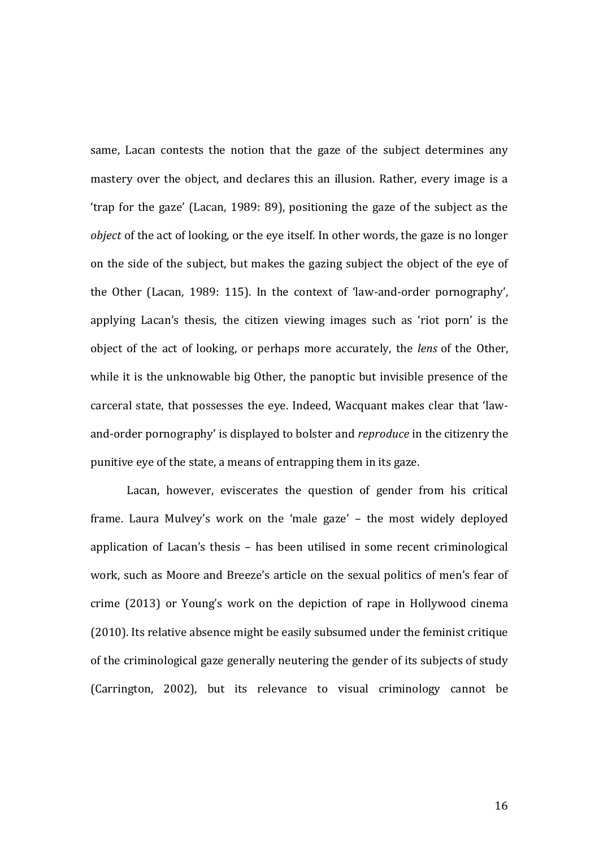same, Lacan contests the notion that the gaze of the subject determines any mastery over the object, and declares this an illusion. Rather, every image is a 'trap for the gaze' (Lacan, 1989: 89), positioning the gaze of the subject as the *object* of the act of looking, or the eye itself. In other words, the gaze is no longer on the side of the subject, but makes the gazing subject the object of the eye of the Other (Lacan, 1989: 115). In the context of 'law-and-order pornography', applying Lacan's thesis, the citizen viewing images such as 'riot porn' is the object of the act of looking, or perhaps more accurately, the *lens* of the Other, while it is the unknowable big Other, the panoptic but invisible presence of the carceral state, that possesses the eye. Indeed, Wacquant makes clear that 'lawand-order pornography' is displayed to bolster and *reproduce* in the citizenry the punitive eye of the state, a means of entrapping them in its gaze.

Lacan, however, eviscerates the question of gender from his critical frame. Laura Mulvey's work on the 'male gaze' – the most widely deployed application of Lacan's thesis – has been utilised in some recent criminological work, such as Moore and Breeze's article on the sexual politics of men's fear of crime (2013) or Young's work on the depiction of rape in Hollywood cinema (2010). Its relative absence might be easily subsumed under the feminist critique of the criminological gaze generally neutering the gender of its subjects of study (Carrington, 2002), but its relevance to visual criminology cannot be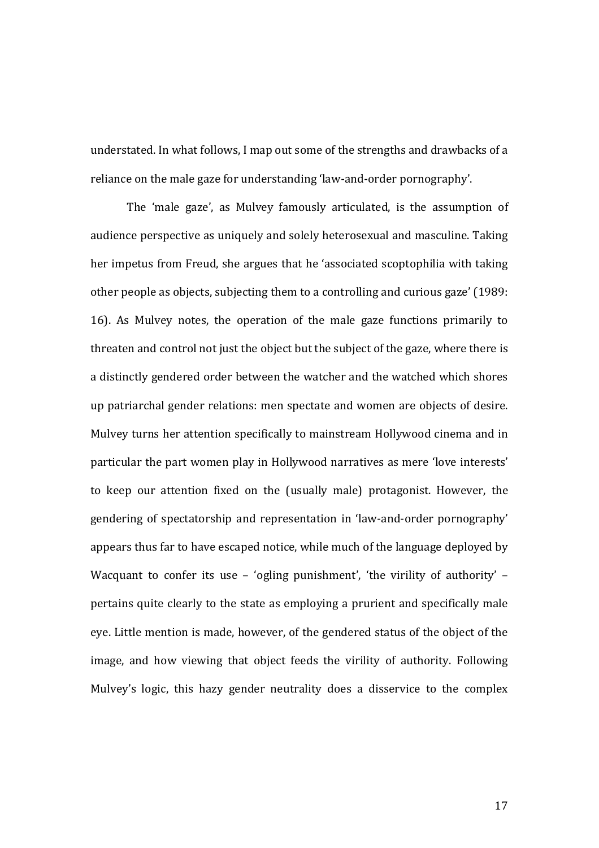understated. In what follows, I map out some of the strengths and drawbacks of a reliance on the male gaze for understanding 'law-and-order pornography'.

The 'male gaze', as Mulvey famously articulated, is the assumption of audience perspective as uniquely and solely heterosexual and masculine. Taking her impetus from Freud, she argues that he 'associated scoptophilia with taking other people as objects, subjecting them to a controlling and curious gaze' (1989: 16). As Mulvey notes, the operation of the male gaze functions primarily to threaten and control not just the object but the subject of the gaze, where there is a distinctly gendered order between the watcher and the watched which shores up patriarchal gender relations: men spectate and women are objects of desire. Mulvey turns her attention specifically to mainstream Hollywood cinema and in particular the part women play in Hollywood narratives as mere 'love interests' to keep our attention fixed on the (usually male) protagonist. However, the gendering of spectatorship and representation in 'law-and-order pornography' appears thus far to have escaped notice, while much of the language deployed by Wacquant to confer its use - 'ogling punishment', 'the virility of authority' pertains quite clearly to the state as employing a prurient and specifically male eye. Little mention is made, however, of the gendered status of the object of the image, and how viewing that object feeds the virility of authority. Following Mulvey's logic, this hazy gender neutrality does a disservice to the complex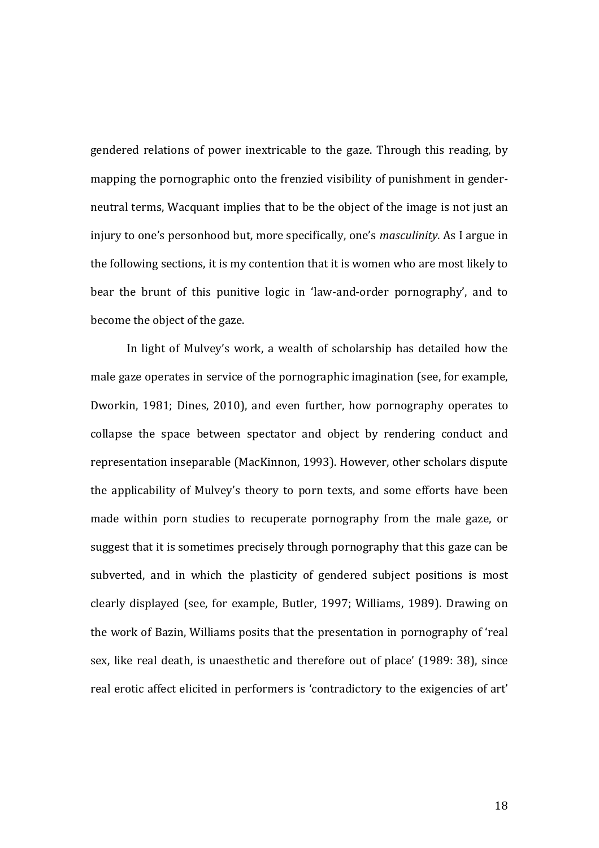gendered relations of power inextricable to the gaze. Through this reading, by mapping the pornographic onto the frenzied visibility of punishment in genderneutral terms, Wacquant implies that to be the object of the image is not just an injury to one's personhood but, more specifically, one's *masculinity*. As I argue in the following sections, it is my contention that it is women who are most likely to bear the brunt of this punitive logic in 'law-and-order pornography', and to become the object of the gaze.

In light of Mulvey's work, a wealth of scholarship has detailed how the male gaze operates in service of the pornographic imagination (see, for example, Dworkin, 1981; Dines, 2010), and even further, how pornography operates to collapse the space between spectator and object by rendering conduct and representation inseparable (MacKinnon, 1993). However, other scholars dispute the applicability of Mulvey's theory to porn texts, and some efforts have been made within porn studies to recuperate pornography from the male gaze, or suggest that it is sometimes precisely through pornography that this gaze can be subverted, and in which the plasticity of gendered subject positions is most clearly displayed (see, for example, Butler, 1997; Williams, 1989). Drawing on the work of Bazin, Williams posits that the presentation in pornography of 'real sex, like real death, is unaesthetic and therefore out of place' (1989: 38), since real erotic affect elicited in performers is 'contradictory to the exigencies of art'

18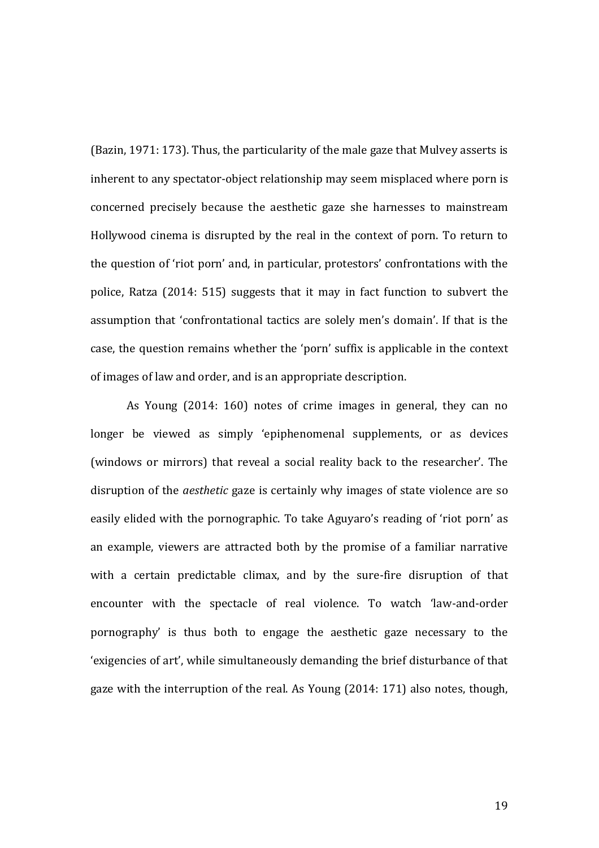(Bazin, 1971: 173). Thus, the particularity of the male gaze that Mulvey asserts is inherent to any spectator-object relationship may seem misplaced where porn is concerned precisely because the aesthetic gaze she harnesses to mainstream Hollywood cinema is disrupted by the real in the context of porn. To return to the question of 'riot porn' and, in particular, protestors' confrontations with the police, Ratza (2014: 515) suggests that it may in fact function to subvert the assumption that 'confrontational tactics are solely men's domain'. If that is the case, the question remains whether the 'porn' suffix is applicable in the context of images of law and order, and is an appropriate description.

As Young (2014: 160) notes of crime images in general, they can no longer be viewed as simply 'epiphenomenal supplements, or as devices (windows or mirrors) that reveal a social reality back to the researcher'. The disruption of the *aesthetic* gaze is certainly why images of state violence are so easily elided with the pornographic. To take Aguyaro's reading of 'riot porn' as an example, viewers are attracted both by the promise of a familiar narrative with a certain predictable climax, and by the sure-fire disruption of that encounter with the spectacle of real violence. To watch 'law-and-order pornography' is thus both to engage the aesthetic gaze necessary to the 'exigencies of art', while simultaneously demanding the brief disturbance of that gaze with the interruption of the real. As Young (2014: 171) also notes, though,

19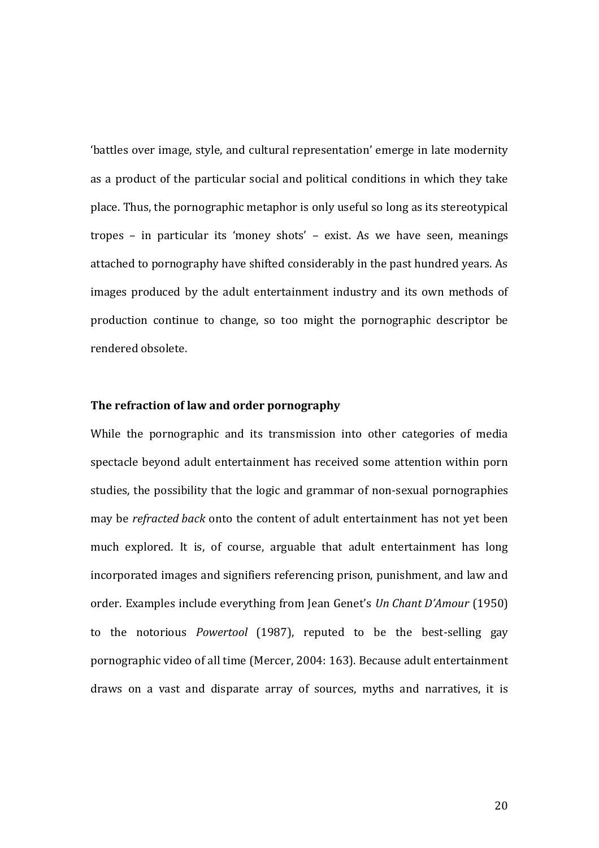'battles over image, style, and cultural representation' emerge in late modernity as a product of the particular social and political conditions in which they take place. Thus, the pornographic metaphor is only useful so long as its stereotypical tropes – in particular its 'money shots' – exist. As we have seen, meanings attached to pornography have shifted considerably in the past hundred years. As images produced by the adult entertainment industry and its own methods of production continue to change, so too might the pornographic descriptor be rendered obsolete.

### **The refraction of law and order pornography**

While the pornographic and its transmission into other categories of media spectacle beyond adult entertainment has received some attention within porn studies, the possibility that the logic and grammar of non-sexual pornographies may be *refracted back* onto the content of adult entertainment has not yet been much explored. It is, of course, arguable that adult entertainment has long incorporated images and signifiers referencing prison, punishment, and law and order. Examples include everything from Jean Genet's *Un Chant D'Amour* (1950) to the notorious *Powertool* (1987), reputed to be the best-selling gay pornographic video of all time (Mercer, 2004: 163). Because adult entertainment draws on a vast and disparate array of sources, myths and narratives, it is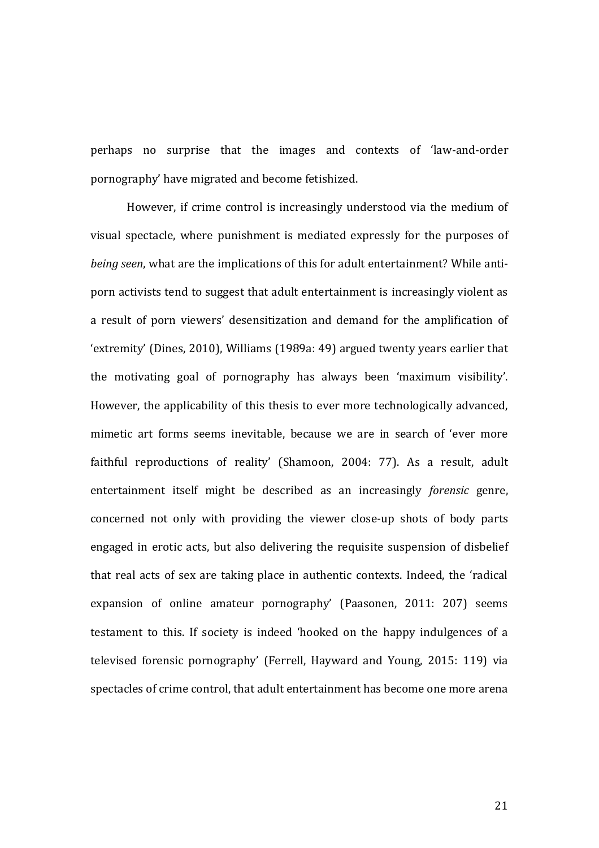perhaps no surprise that the images and contexts of 'law-and-order pornography' have migrated and become fetishized.

However, if crime control is increasingly understood via the medium of visual spectacle, where punishment is mediated expressly for the purposes of *being seen*, what are the implications of this for adult entertainment? While antiporn activists tend to suggest that adult entertainment is increasingly violent as a result of porn viewers' desensitization and demand for the amplification of 'extremity' (Dines, 2010), Williams (1989a: 49) argued twenty years earlier that the motivating goal of pornography has always been 'maximum visibility'. However, the applicability of this thesis to ever more technologically advanced, mimetic art forms seems inevitable, because we are in search of 'ever more faithful reproductions of reality' (Shamoon, 2004: 77). As a result, adult entertainment itself might be described as an increasingly *forensic* genre, concerned not only with providing the viewer close-up shots of body parts engaged in erotic acts, but also delivering the requisite suspension of disbelief that real acts of sex are taking place in authentic contexts. Indeed, the 'radical expansion of online amateur pornography' (Paasonen, 2011: 207) seems testament to this. If society is indeed 'hooked on the happy indulgences of a televised forensic pornography' (Ferrell, Hayward and Young, 2015: 119) via spectacles of crime control, that adult entertainment has become one more arena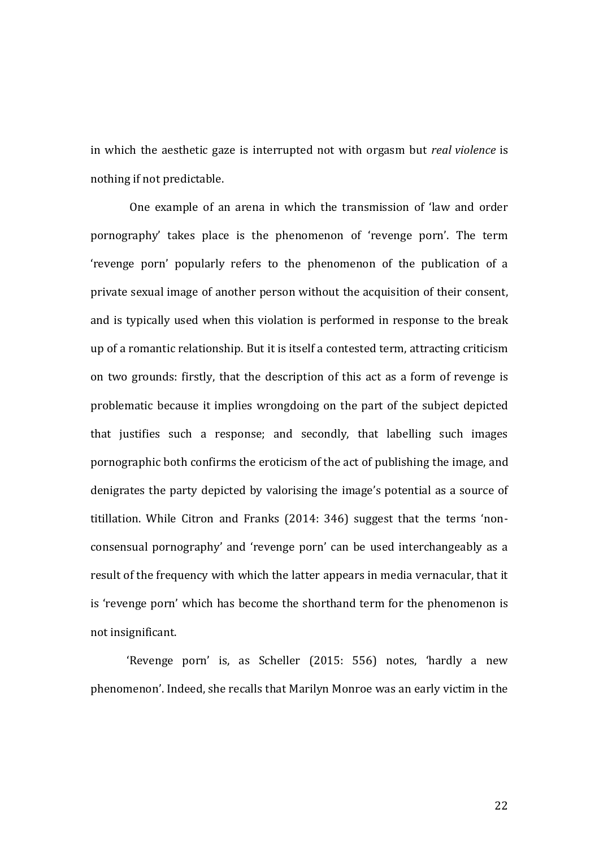in which the aesthetic gaze is interrupted not with orgasm but *real violence* is nothing if not predictable.

One example of an arena in which the transmission of 'law and order pornography' takes place is the phenomenon of 'revenge porn'. The term 'revenge porn' popularly refers to the phenomenon of the publication of a private sexual image of another person without the acquisition of their consent, and is typically used when this violation is performed in response to the break up of a romantic relationship. But it is itself a contested term, attracting criticism on two grounds: firstly, that the description of this act as a form of revenge is problematic because it implies wrongdoing on the part of the subject depicted that justifies such a response; and secondly, that labelling such images pornographic both confirms the eroticism of the act of publishing the image, and denigrates the party depicted by valorising the image's potential as a source of titillation. While Citron and Franks (2014: 346) suggest that the terms 'nonconsensual pornography' and 'revenge porn' can be used interchangeably as a result of the frequency with which the latter appears in media vernacular, that it is 'revenge porn' which has become the shorthand term for the phenomenon is not insignificant.

'Revenge porn' is, as Scheller (2015: 556) notes, 'hardly a new phenomenon'. Indeed, she recalls that Marilyn Monroe was an early victim in the

22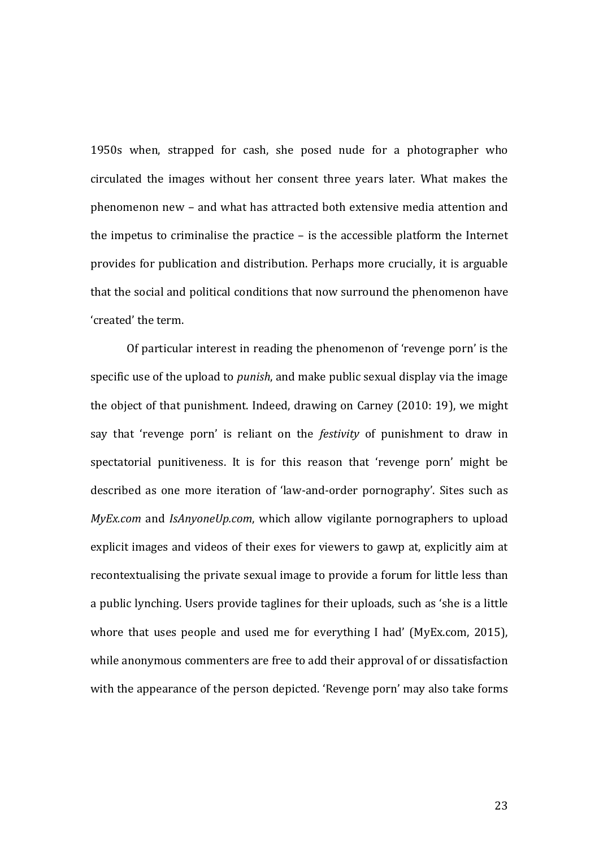1950s when, strapped for cash, she posed nude for a photographer who circulated the images without her consent three years later. What makes the phenomenon new – and what has attracted both extensive media attention and the impetus to criminalise the practice – is the accessible platform the Internet provides for publication and distribution. Perhaps more crucially, it is arguable that the social and political conditions that now surround the phenomenon have 'created' the term.

Of particular interest in reading the phenomenon of 'revenge porn' is the specific use of the upload to *punish*, and make public sexual display via the image the object of that punishment. Indeed, drawing on Carney (2010: 19), we might say that 'revenge porn' is reliant on the *festivity* of punishment to draw in spectatorial punitiveness. It is for this reason that 'revenge porn' might be described as one more iteration of 'law-and-order pornography'. Sites such as *MyEx.com* and *IsAnyoneUp.com*, which allow vigilante pornographers to upload explicit images and videos of their exes for viewers to gawp at, explicitly aim at recontextualising the private sexual image to provide a forum for little less than a public lynching. Users provide taglines for their uploads, such as 'she is a little whore that uses people and used me for everything I had' (MyEx.com, 2015), while anonymous commenters are free to add their approval of or dissatisfaction with the appearance of the person depicted. 'Revenge porn' may also take forms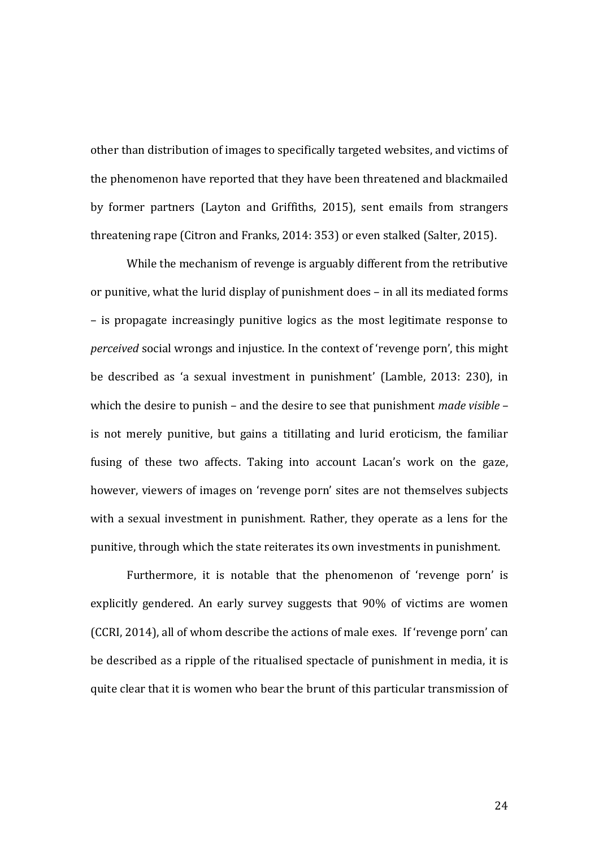other than distribution of images to specifically targeted websites, and victims of the phenomenon have reported that they have been threatened and blackmailed by former partners (Layton and Griffiths, 2015), sent emails from strangers threatening rape (Citron and Franks, 2014: 353) or even stalked (Salter, 2015).

While the mechanism of revenge is arguably different from the retributive or punitive, what the lurid display of punishment does – in all its mediated forms – is propagate increasingly punitive logics as the most legitimate response to *perceived* social wrongs and injustice. In the context of 'revenge porn', this might be described as 'a sexual investment in punishment' (Lamble, 2013: 230), in which the desire to punish – and the desire to see that punishment *made visible* – is not merely punitive, but gains a titillating and lurid eroticism, the familiar fusing of these two affects. Taking into account Lacan's work on the gaze, however, viewers of images on 'revenge porn' sites are not themselves subjects with a sexual investment in punishment. Rather, they operate as a lens for the punitive, through which the state reiterates its own investments in punishment.

Furthermore, it is notable that the phenomenon of 'revenge porn' is explicitly gendered. An early survey suggests that 90% of victims are women (CCRI, 2014), all of whom describe the actions of male exes. If 'revenge porn' can be described as a ripple of the ritualised spectacle of punishment in media, it is quite clear that it is women who bear the brunt of this particular transmission of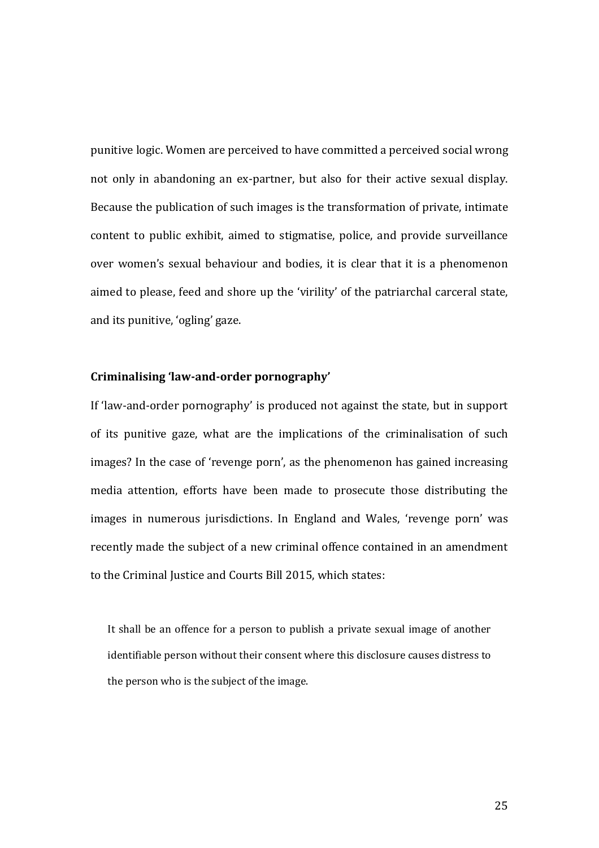punitive logic. Women are perceived to have committed a perceived social wrong not only in abandoning an ex-partner, but also for their active sexual display. Because the publication of such images is the transformation of private, intimate content to public exhibit, aimed to stigmatise, police, and provide surveillance over women's sexual behaviour and bodies, it is clear that it is a phenomenon aimed to please, feed and shore up the 'virility' of the patriarchal carceral state, and its punitive, 'ogling' gaze.

### **Criminalising 'law-and-order pornography'**

If 'law-and-order pornography' is produced not against the state, but in support of its punitive gaze, what are the implications of the criminalisation of such images? In the case of 'revenge porn', as the phenomenon has gained increasing media attention, efforts have been made to prosecute those distributing the images in numerous jurisdictions. In England and Wales, 'revenge porn' was recently made the subject of a new criminal offence contained in an amendment to the Criminal Justice and Courts Bill 2015, which states:

It shall be an offence for a person to publish a private sexual image of another identifiable person without their consent where this disclosure causes distress to the person who is the subject of the image.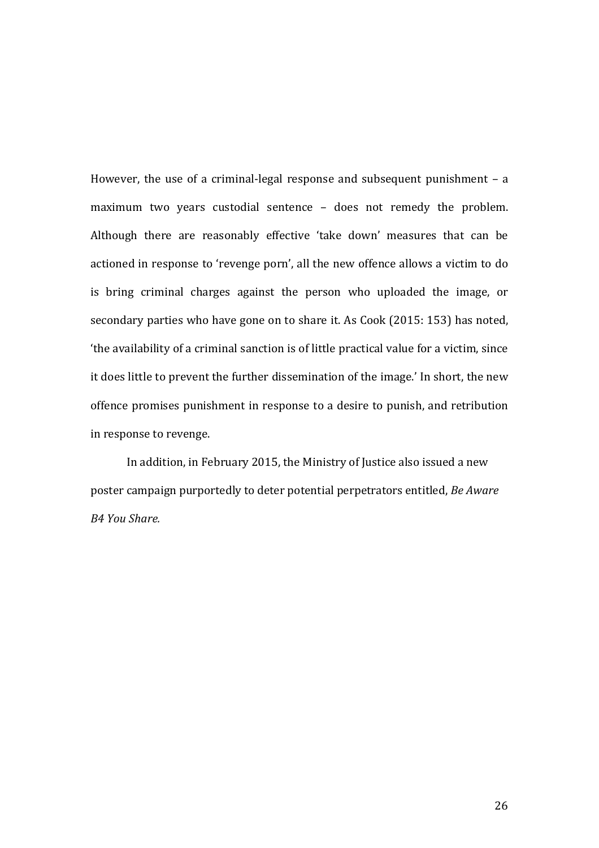However, the use of a criminal-legal response and subsequent punishment – a maximum two years custodial sentence – does not remedy the problem. Although there are reasonably effective 'take down' measures that can be actioned in response to 'revenge porn', all the new offence allows a victim to do is bring criminal charges against the person who uploaded the image, or secondary parties who have gone on to share it. As Cook (2015: 153) has noted, 'the availability of a criminal sanction is of little practical value for a victim, since it does little to prevent the further dissemination of the image.' In short, the new offence promises punishment in response to a desire to punish, and retribution in response to revenge.

In addition, in February 2015, the Ministry of Justice also issued a new poster campaign purportedly to deter potential perpetrators entitled, *Be Aware B4 You Share.*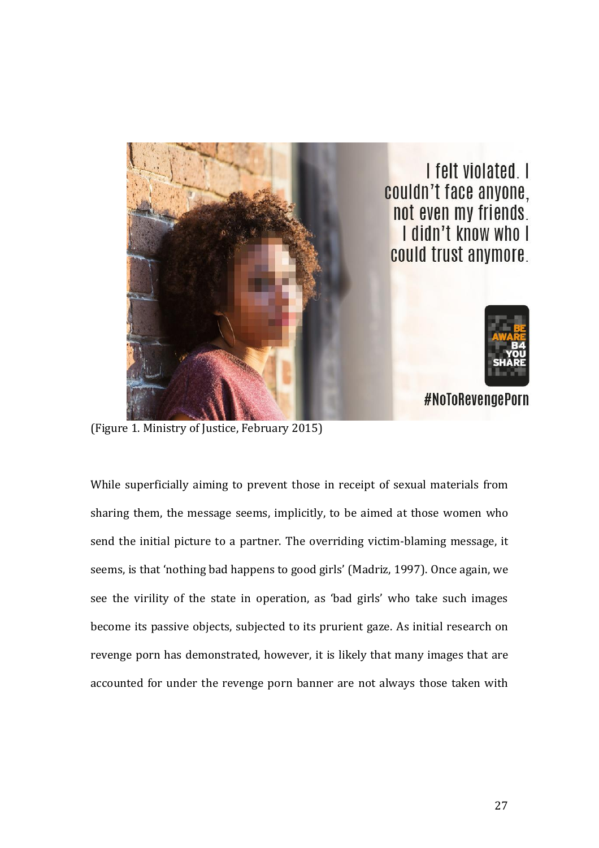

(Figure 1. Ministry of Justice, February 2015)

While superficially aiming to prevent those in receipt of sexual materials from sharing them, the message seems, implicitly, to be aimed at those women who send the initial picture to a partner. The overriding victim-blaming message, it seems, is that 'nothing bad happens to good girls' (Madriz, 1997). Once again, we see the virility of the state in operation, as 'bad girls' who take such images become its passive objects, subjected to its prurient gaze. As initial research on revenge porn has demonstrated, however, it is likely that many images that are accounted for under the revenge porn banner are not always those taken with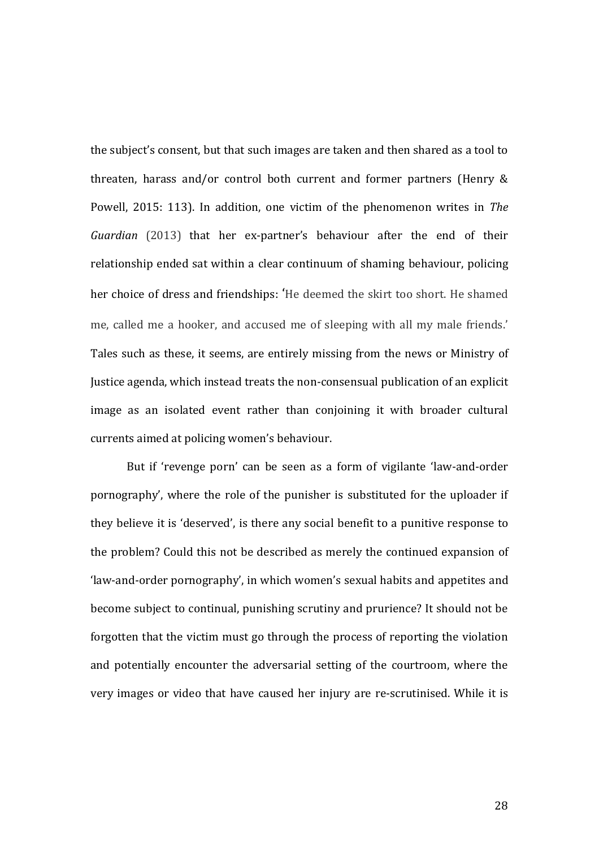the subject's consent, but that such images are taken and then shared as a tool to threaten, harass and/or control both current and former partners (Henry & Powell, 2015: 113). In addition, one victim of the phenomenon writes in *The Guardian* (2013) that her ex-partner's behaviour after the end of their relationship ended sat within a clear continuum of shaming behaviour, policing her choice of dress and friendships: 'He deemed the skirt too short. He shamed me, called me a hooker, and accused me of sleeping with all my male friends.' Tales such as these, it seems, are entirely missing from the news or Ministry of Justice agenda, which instead treats the non-consensual publication of an explicit image as an isolated event rather than conjoining it with broader cultural currents aimed at policing women's behaviour.

But if 'revenge porn' can be seen as a form of vigilante 'law-and-order pornography', where the role of the punisher is substituted for the uploader if they believe it is 'deserved', is there any social benefit to a punitive response to the problem? Could this not be described as merely the continued expansion of 'law-and-order pornography', in which women's sexual habits and appetites and become subject to continual, punishing scrutiny and prurience? It should not be forgotten that the victim must go through the process of reporting the violation and potentially encounter the adversarial setting of the courtroom, where the very images or video that have caused her injury are re-scrutinised. While it is

28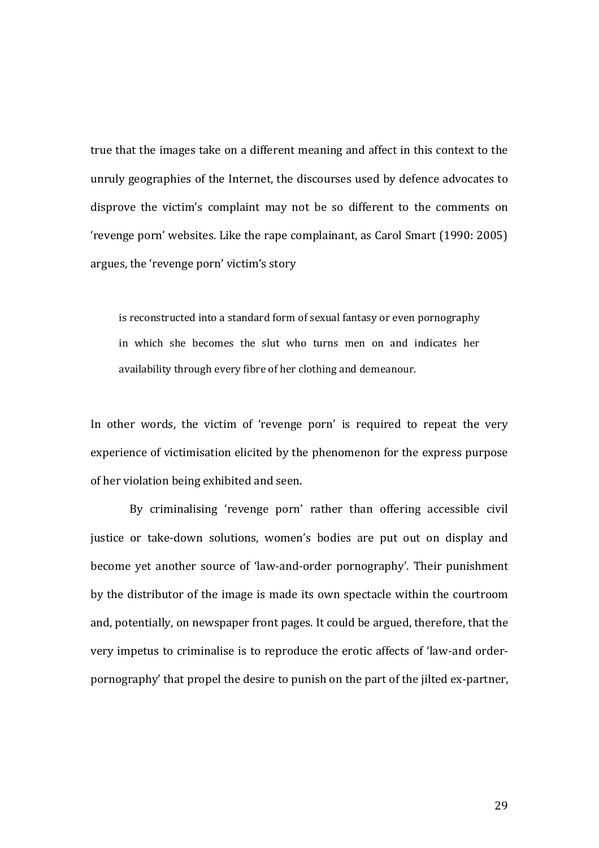true that the images take on a different meaning and affect in this context to the unruly geographies of the Internet, the discourses used by defence advocates to disprove the victim's complaint may not be so different to the comments on 'revenge porn' websites. Like the rape complainant, as Carol Smart (1990: 2005) argues, the 'revenge porn' victim's story

is reconstructed into a standard form of sexual fantasy or even pornography in which she becomes the slut who turns men on and indicates her availability through every fibre of her clothing and demeanour.

In other words, the victim of 'revenge porn' is required to repeat the very experience of victimisation elicited by the phenomenon for the express purpose of her violation being exhibited and seen.

By criminalising 'revenge porn' rather than offering accessible civil justice or take-down solutions, women's bodies are put out on display and become yet another source of 'law-and-order pornography'. Their punishment by the distributor of the image is made its own spectacle within the courtroom and, potentially, on newspaper front pages. It could be argued, therefore, that the very impetus to criminalise is to reproduce the erotic affects of 'law-and orderpornography' that propel the desire to punish on the part of the jilted ex-partner,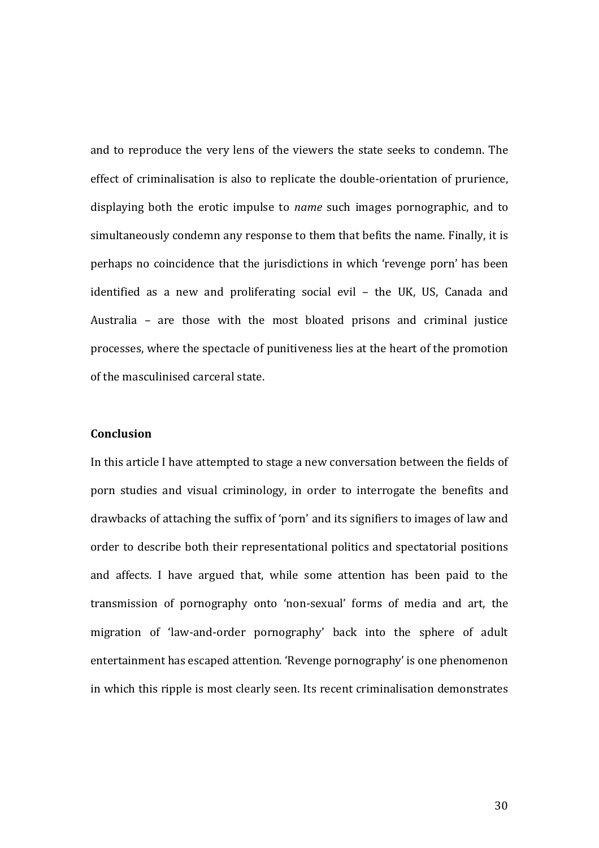and to reproduce the very lens of the viewers the state seeks to condemn. The effect of criminalisation is also to replicate the double-orientation of prurience, displaying both the erotic impulse to *name* such images pornographic, and to simultaneously condemn any response to them that befits the name. Finally, it is perhaps no coincidence that the jurisdictions in which 'revenge porn' has been identified as a new and proliferating social evil – the UK, US, Canada and Australia – are those with the most bloated prisons and criminal justice processes, where the spectacle of punitiveness lies at the heart of the promotion of the masculinised carceral state.

# **Conclusion**

In this article I have attempted to stage a new conversation between the fields of porn studies and visual criminology, in order to interrogate the benefits and drawbacks of attaching the suffix of 'porn' and its signifiers to images of law and order to describe both their representational politics and spectatorial positions and affects. I have argued that, while some attention has been paid to the transmission of pornography onto 'non-sexual' forms of media and art, the migration of 'law-and-order pornography' back into the sphere of adult entertainment has escaped attention. 'Revenge pornography' is one phenomenon in which this ripple is most clearly seen. Its recent criminalisation demonstrates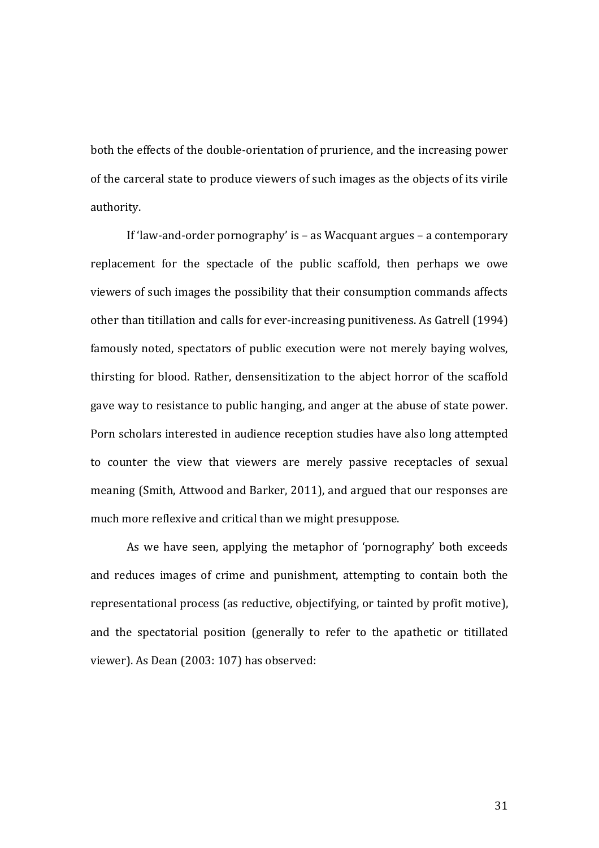both the effects of the double-orientation of prurience, and the increasing power of the carceral state to produce viewers of such images as the objects of its virile authority.

If 'law-and-order pornography' is – as Wacquant argues – a contemporary replacement for the spectacle of the public scaffold, then perhaps we owe viewers of such images the possibility that their consumption commands affects other than titillation and calls for ever-increasing punitiveness. As Gatrell (1994) famously noted, spectators of public execution were not merely baying wolves, thirsting for blood. Rather, densensitization to the abject horror of the scaffold gave way to resistance to public hanging, and anger at the abuse of state power. Porn scholars interested in audience reception studies have also long attempted to counter the view that viewers are merely passive receptacles of sexual meaning (Smith, Attwood and Barker, 2011), and argued that our responses are much more reflexive and critical than we might presuppose.

As we have seen, applying the metaphor of 'pornography' both exceeds and reduces images of crime and punishment, attempting to contain both the representational process (as reductive, objectifying, or tainted by profit motive), and the spectatorial position (generally to refer to the apathetic or titillated viewer). As Dean (2003: 107) has observed: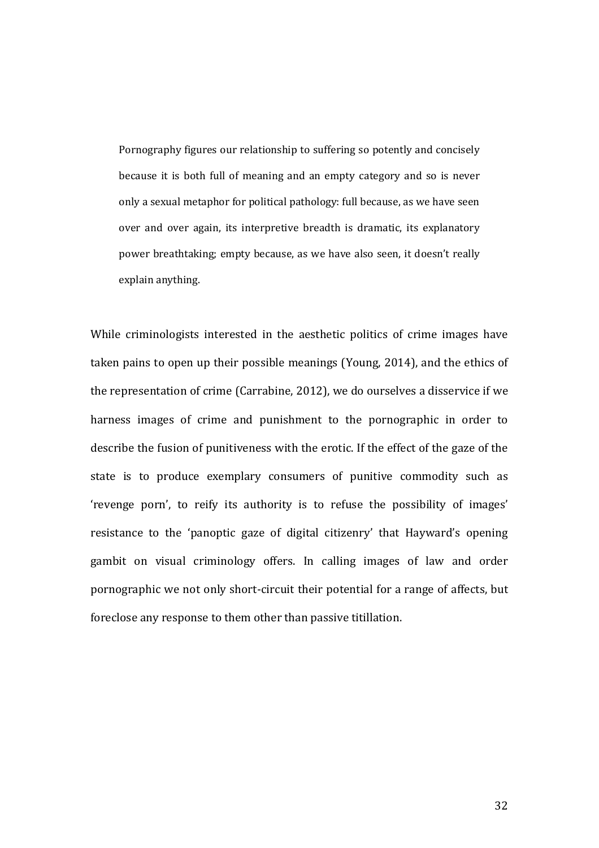Pornography figures our relationship to suffering so potently and concisely because it is both full of meaning and an empty category and so is never only a sexual metaphor for political pathology: full because, as we have seen over and over again, its interpretive breadth is dramatic, its explanatory power breathtaking; empty because, as we have also seen, it doesn't really explain anything.

While criminologists interested in the aesthetic politics of crime images have taken pains to open up their possible meanings (Young, 2014), and the ethics of the representation of crime (Carrabine, 2012), we do ourselves a disservice if we harness images of crime and punishment to the pornographic in order to describe the fusion of punitiveness with the erotic. If the effect of the gaze of the state is to produce exemplary consumers of punitive commodity such as 'revenge porn', to reify its authority is to refuse the possibility of images' resistance to the 'panoptic gaze of digital citizenry' that Hayward's opening gambit on visual criminology offers. In calling images of law and order pornographic we not only short-circuit their potential for a range of affects, but foreclose any response to them other than passive titillation.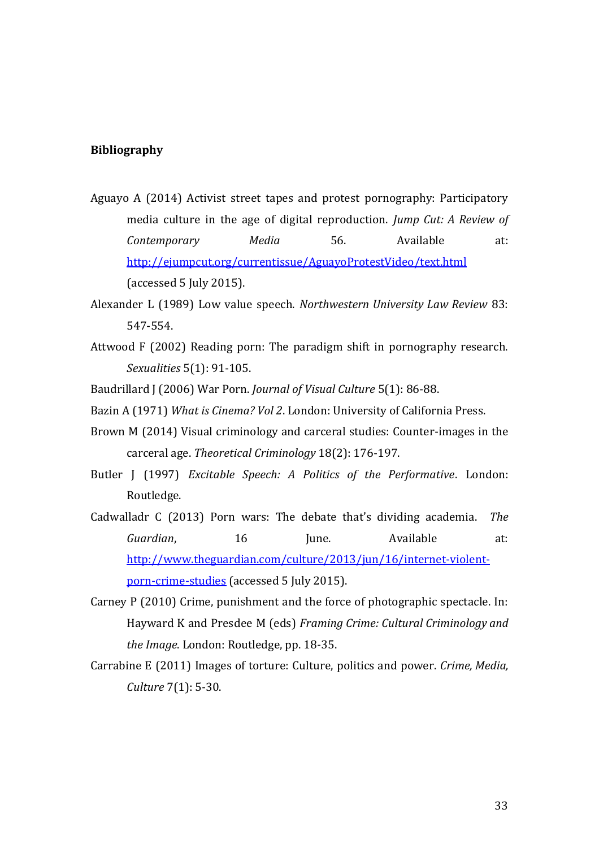### **Bibliography**

- Aguayo A (2014) Activist street tapes and protest pornography: Participatory media culture in the age of digital reproduction. *Jump Cut: A Review of Contemporary Media* 56. Available at: <http://ejumpcut.org/currentissue/AguayoProtestVideo/text.html> (accessed 5 July 2015).
- Alexander L (1989) Low value speech. *Northwestern University Law Review* 83: 547-554.
- Attwood F (2002) Reading porn: The paradigm shift in pornography research. *Sexualities* 5(1): 91-105.
- Baudrillard J (2006) War Porn. *Journal of Visual Culture* 5(1): 86-88.
- Bazin A (1971) *What is Cinema? Vol 2*. London: University of California Press.
- Brown M (2014) Visual criminology and carceral studies: Counter-images in the carceral age. *Theoretical Criminology* 18(2): 176-197.
- Butler J (1997) *Excitable Speech: A Politics of the Performative*. London: Routledge.
- Cadwalladr C (2013) Porn wars: The debate that's dividing academia. *The Guardian*, 16 June. Available at: [http://www.theguardian.com/culture/2013/jun/16/internet-violent](http://www.theguardian.com/culture/2013/jun/16/internet-violent-porn-crime-studies)[porn-crime-studies](http://www.theguardian.com/culture/2013/jun/16/internet-violent-porn-crime-studies) (accessed 5 July 2015).
- Carney P (2010) Crime, punishment and the force of photographic spectacle. In: Hayward K and Presdee M (eds) *Framing Crime: Cultural Criminology and the Image*. London: Routledge, pp. 18-35.
- Carrabine E (2011) Images of torture: Culture, politics and power. *Crime, Media, Culture* 7(1): 5-30.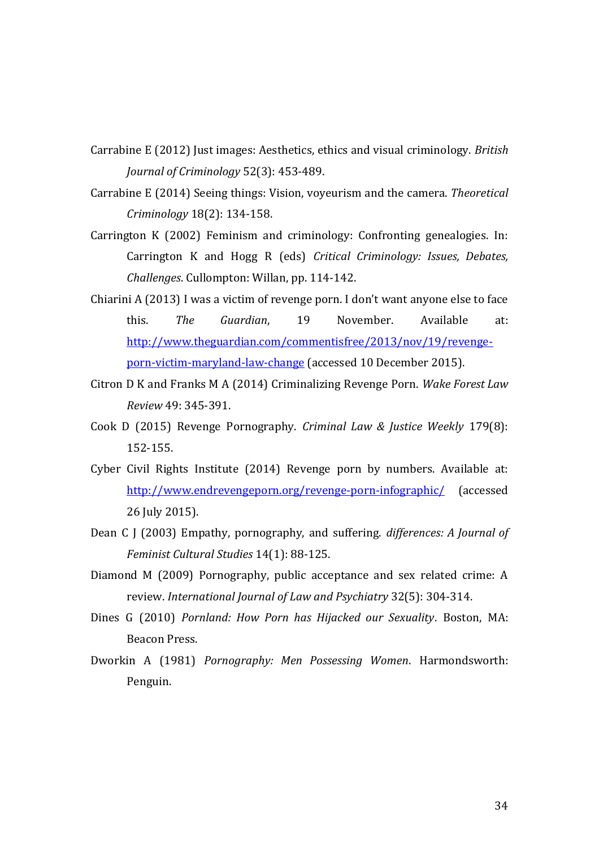- Carrabine E (2012) Just images: Aesthetics, ethics and visual criminology. *British Journal of Criminology* 52(3): 453-489.
- Carrabine E (2014) Seeing things: Vision, voyeurism and the camera. *Theoretical Criminology* 18(2): 134-158.
- Carrington K (2002) Feminism and criminology: Confronting genealogies. In: Carrington K and Hogg R (eds) *Critical Criminology: Issues, Debates, Challenges*. Cullompton: Willan, pp. 114-142.
- Chiarini A (2013) I was a victim of revenge porn. I don't want anyone else to face this. *The Guardian*, 19 November. Available at: [http://www.theguardian.com/commentisfree/2013/nov/19/revenge](http://www.theguardian.com/commentisfree/2013/nov/19/revenge-porn-victim-maryland-law-change)[porn-victim-maryland-law-change](http://www.theguardian.com/commentisfree/2013/nov/19/revenge-porn-victim-maryland-law-change) (accessed 10 December 2015).
- Citron D K and Franks M A (2014) Criminalizing Revenge Porn. *Wake Forest Law Review* 49: 345-391.
- Cook D (2015) Revenge Pornography. *Criminal Law & Justice Weekly* 179(8): 152-155.
- Cyber Civil Rights Institute (2014) Revenge porn by numbers. Available at: <http://www.endrevengeporn.org/revenge-porn-infographic/> (accessed 26 July 2015).
- Dean C J (2003) Empathy, pornography, and suffering. *differences: A Journal of Feminist Cultural Studies* 14(1): 88-125.
- Diamond M (2009) Pornography, public acceptance and sex related crime: A review. *International Journal of Law and Psychiatry* 32(5): 304-314.
- Dines G (2010) *Pornland: How Porn has Hijacked our Sexuality*. Boston, MA: Beacon Press.
- Dworkin A (1981) *Pornography: Men Possessing Women*. Harmondsworth: Penguin.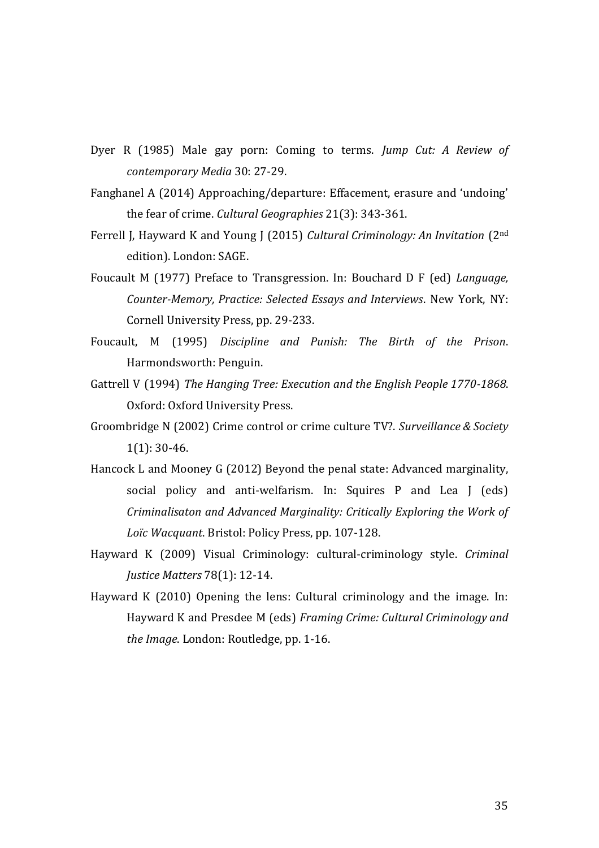- Dyer R (1985) Male gay porn: Coming to terms. *Jump Cut: A Review of contemporary Media* 30: 27-29.
- Fanghanel A (2014) Approaching/departure: Effacement, erasure and 'undoing' the fear of crime. *Cultural Geographies* 21(3): 343-361.
- Ferrell J, Hayward K and Young J (2015) *Cultural Criminology: An Invitation* (2nd edition). London: SAGE.
- Foucault M (1977) Preface to Transgression. In: Bouchard D F (ed) *Language, Counter-Memory, Practice: Selected Essays and Interviews*. New York, NY: Cornell University Press, pp. 29-233.
- Foucault, M (1995) *Discipline and Punish: The Birth of the Prison*. Harmondsworth: Penguin.
- Gattrell V (1994) *The Hanging Tree: Execution and the English People 1770-1868*. Oxford: Oxford University Press.
- Groombridge N (2002) Crime control or crime culture TV?. *Surveillance & Society* 1(1): 30-46.
- Hancock L and Mooney G (2012) Beyond the penal state: Advanced marginality, social policy and anti-welfarism. In: Squires P and Lea J (eds) *Criminalisaton and Advanced Marginality: Critically Exploring the Work of Loïc Wacquant*. Bristol: Policy Press, pp. 107-128.
- Hayward K (2009) Visual Criminology: cultural-criminology style. *Criminal Justice Matters* 78(1): 12-14.
- Hayward K (2010) Opening the lens: Cultural criminology and the image. In: Hayward K and Presdee M (eds) *Framing Crime: Cultural Criminology and the Image*. London: Routledge, pp. 1-16.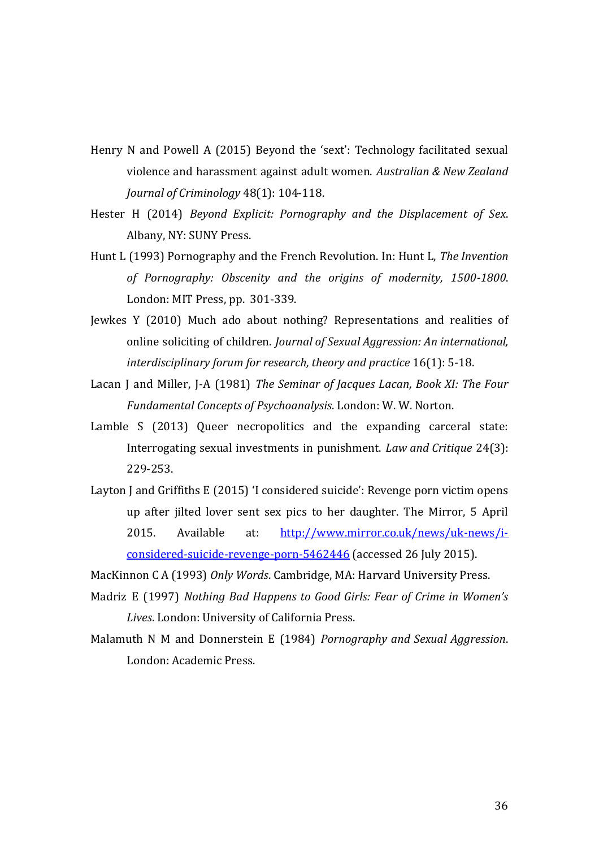- Henry N and Powell A (2015) Beyond the 'sext': Technology facilitated sexual violence and harassment against adult women. *Australian & New Zealand Journal of Criminology* 48(1): 104-118.
- Hester H (2014) *Beyond Explicit: Pornography and the Displacement of Sex*. Albany, NY: SUNY Press.
- Hunt L (1993) Pornography and the French Revolution. In: Hunt L, *The Invention of Pornography: Obscenity and the origins of modernity, 1500-1800*. London: MIT Press, pp. 301-339.
- Jewkes Y (2010) Much ado about nothing? Representations and realities of online soliciting of children. *Journal of Sexual Aggression: An international, interdisciplinary forum for research, theory and practice* 16(1): 5-18.
- Lacan J and Miller, J-A (1981) *The Seminar of Jacques Lacan, Book XI: The Four Fundamental Concepts of Psychoanalysis*. London: W. W. Norton.
- Lamble S (2013) Queer necropolitics and the expanding carceral state: Interrogating sexual investments in punishment. *Law and Critique* 24(3): 229-253.
- Layton J and Griffiths E (2015) 'I considered suicide': Revenge porn victim opens up after jilted lover sent sex pics to her daughter. The Mirror, 5 April 2015. Available at: [http://www.mirror.co.uk/news/uk-news/i](http://www.mirror.co.uk/news/uk-news/i-considered-suicide-revenge-porn-5462446)[considered-suicide-revenge-porn-5462446](http://www.mirror.co.uk/news/uk-news/i-considered-suicide-revenge-porn-5462446) (accessed 26 July 2015).

MacKinnon C A (1993) *Only Words*. Cambridge, MA: Harvard University Press.

- Madriz E (1997) *Nothing Bad Happens to Good Girls: Fear of Crime in Women's Lives*. London: University of California Press.
- Malamuth N M and Donnerstein E (1984) *Pornography and Sexual Aggression*. London: Academic Press.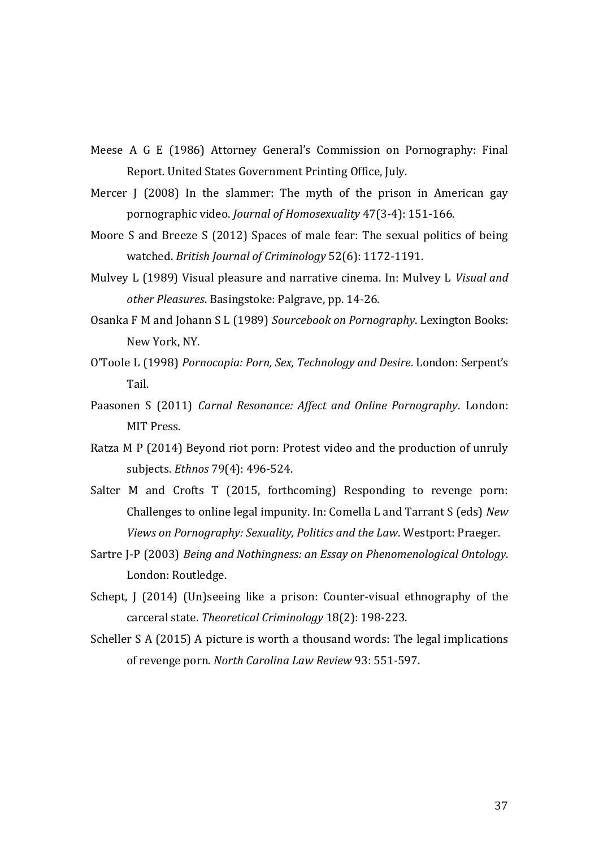- Meese A G E (1986) Attorney General's Commission on Pornography: Final Report. United States Government Printing Office, July.
- Mercer J (2008) In the slammer: The myth of the prison in American gay pornographic video. *Journal of Homosexuality* 47(3-4): 151-166.
- Moore S and Breeze S (2012) Spaces of male fear: The sexual politics of being watched. *British Journal of Criminology* 52(6): 1172-1191.
- Mulvey L (1989) Visual pleasure and narrative cinema. In: Mulvey L *Visual and other Pleasures*. Basingstoke: Palgrave, pp. 14-26.
- Osanka F M and Johann S L (1989) *Sourcebook on Pornography*. Lexington Books: New York, NY.
- O'Toole L (1998) *Pornocopia: Porn, Sex, Technology and Desire*. London: Serpent's Tail.
- Paasonen S (2011) *Carnal Resonance: Affect and Online Pornography*. London: MIT Press.
- Ratza M P (2014) Beyond riot porn: Protest video and the production of unruly subjects. *Ethnos* 79(4): 496-524.
- Salter M and Crofts T (2015, forthcoming) Responding to revenge porn: Challenges to online legal impunity. In: Comella L and Tarrant S (eds) *New Views on Pornography: Sexuality, Politics and the Law*. Westport: Praeger.
- Sartre J-P (2003) *Being and Nothingness: an Essay on Phenomenological Ontology*. London: Routledge.
- Schept, J (2014) (Un)seeing like a prison: Counter-visual ethnography of the carceral state. *Theoretical Criminology* 18(2): 198-223.
- Scheller S A (2015) A picture is worth a thousand words: The legal implications of revenge porn. *North Carolina Law Review* 93: 551-597.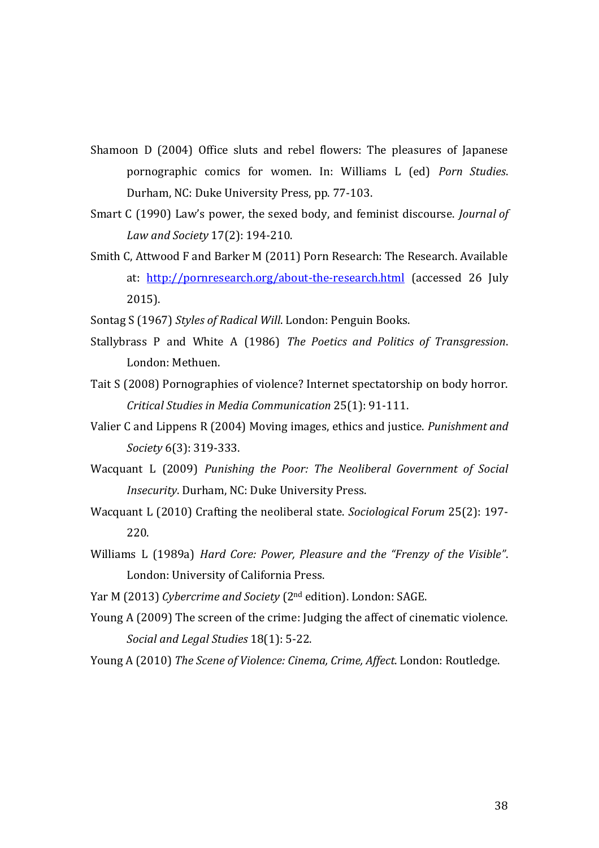- Shamoon D (2004) Office sluts and rebel flowers: The pleasures of Japanese pornographic comics for women. In: Williams L (ed) *Porn Studies*. Durham, NC: Duke University Press, pp. 77-103.
- Smart C (1990) Law's power, the sexed body, and feminist discourse. *Journal of Law and Society* 17(2): 194-210.
- Smith C, Attwood F and Barker M (2011) Porn Research: The Research. Available at: <http://pornresearch.org/about-the-research.html> (accessed 26 July 2015).
- Sontag S (1967) *Styles of Radical Will*. London: Penguin Books.
- Stallybrass P and White A (1986) *The Poetics and Politics of Transgression*. London: Methuen.
- Tait S (2008) Pornographies of violence? Internet spectatorship on body horror. *Critical Studies in Media Communication* 25(1): 91-111.
- Valier C and Lippens R (2004) Moving images, ethics and justice. *Punishment and Society* 6(3): 319-333.
- Wacquant L (2009) *Punishing the Poor: The Neoliberal Government of Social Insecurity*. Durham, NC: Duke University Press.
- Wacquant L (2010) Crafting the neoliberal state. *Sociological Forum* 25(2): 197- 220.
- Williams L (1989a) *Hard Core: Power, Pleasure and the "Frenzy of the Visible"*. London: University of California Press.
- Yar M (2013) *Cybercrime and Society* (2nd edition). London: SAGE.
- Young A (2009) The screen of the crime: Judging the affect of cinematic violence. *Social and Legal Studies* 18(1): 5-22.
- Young A (2010) *The Scene of Violence: Cinema, Crime, Affect*. London: Routledge.